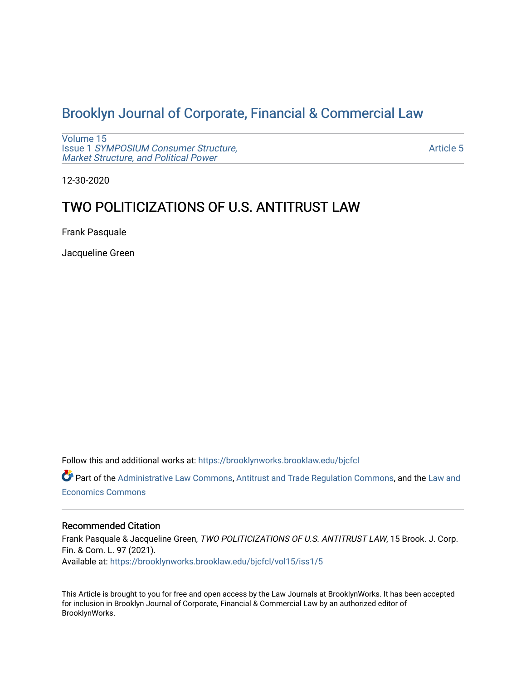# [Brooklyn Journal of Corporate, Financial & Commercial Law](https://brooklynworks.brooklaw.edu/bjcfcl)

[Volume 15](https://brooklynworks.brooklaw.edu/bjcfcl/vol15) Issue 1 [SYMPOSIUM Consumer Structure,](https://brooklynworks.brooklaw.edu/bjcfcl/vol15/iss1) [Market Structure, and Political Power](https://brooklynworks.brooklaw.edu/bjcfcl/vol15/iss1)

[Article 5](https://brooklynworks.brooklaw.edu/bjcfcl/vol15/iss1/5) 

12-30-2020

# TWO POLITICIZATIONS OF U.S. ANTITRUST LAW

Frank Pasquale

Jacqueline Green

Follow this and additional works at: [https://brooklynworks.brooklaw.edu/bjcfcl](https://brooklynworks.brooklaw.edu/bjcfcl?utm_source=brooklynworks.brooklaw.edu%2Fbjcfcl%2Fvol15%2Fiss1%2F5&utm_medium=PDF&utm_campaign=PDFCoverPages)

Part of the [Administrative Law Commons,](http://network.bepress.com/hgg/discipline/579?utm_source=brooklynworks.brooklaw.edu%2Fbjcfcl%2Fvol15%2Fiss1%2F5&utm_medium=PDF&utm_campaign=PDFCoverPages) [Antitrust and Trade Regulation Commons,](http://network.bepress.com/hgg/discipline/911?utm_source=brooklynworks.brooklaw.edu%2Fbjcfcl%2Fvol15%2Fiss1%2F5&utm_medium=PDF&utm_campaign=PDFCoverPages) and the [Law and](http://network.bepress.com/hgg/discipline/612?utm_source=brooklynworks.brooklaw.edu%2Fbjcfcl%2Fvol15%2Fiss1%2F5&utm_medium=PDF&utm_campaign=PDFCoverPages) [Economics Commons](http://network.bepress.com/hgg/discipline/612?utm_source=brooklynworks.brooklaw.edu%2Fbjcfcl%2Fvol15%2Fiss1%2F5&utm_medium=PDF&utm_campaign=PDFCoverPages) 

#### Recommended Citation

Frank Pasquale & Jacqueline Green, TWO POLITICIZATIONS OF U.S. ANTITRUST LAW, 15 Brook. J. Corp. Fin. & Com. L. 97 (2021). Available at: [https://brooklynworks.brooklaw.edu/bjcfcl/vol15/iss1/5](https://brooklynworks.brooklaw.edu/bjcfcl/vol15/iss1/5?utm_source=brooklynworks.brooklaw.edu%2Fbjcfcl%2Fvol15%2Fiss1%2F5&utm_medium=PDF&utm_campaign=PDFCoverPages)

This Article is brought to you for free and open access by the Law Journals at BrooklynWorks. It has been accepted for inclusion in Brooklyn Journal of Corporate, Financial & Commercial Law by an authorized editor of BrooklynWorks.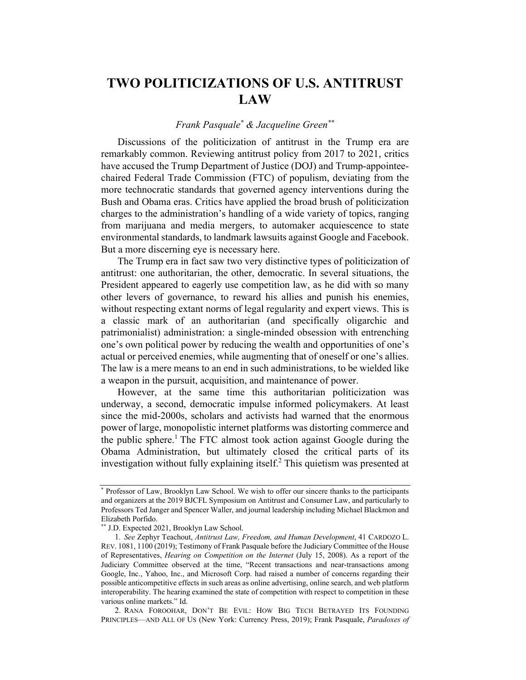# TWO POLITICIZATIONS OF U.S. ANTITRUST LAW

### Frank Pasquale\* & Jacqueline Green\*\*

Discussions of the politicization of antitrust in the Trump era are remarkably common. Reviewing antitrust policy from 2017 to 2021, critics have accused the Trump Department of Justice (DOJ) and Trump-appointeechaired Federal Trade Commission (FTC) of populism, deviating from the more technocratic standards that governed agency interventions during the Bush and Obama eras. Critics have applied the broad brush of politicization charges to the administration's handling of a wide variety of topics, ranging from marijuana and media mergers, to automaker acquiescence to state environmental standards, to landmark lawsuits against Google and Facebook. But a more discerning eye is necessary here.

The Trump era in fact saw two very distinctive types of politicization of antitrust: one authoritarian, the other, democratic. In several situations, the President appeared to eagerly use competition law, as he did with so many other levers of governance, to reward his allies and punish his enemies, without respecting extant norms of legal regularity and expert views. This is a classic mark of an authoritarian (and specifically oligarchic and patrimonialist) administration: a single-minded obsession with entrenching one's own political power by reducing the wealth and opportunities of one's actual or perceived enemies, while augmenting that of oneself or one's allies. The law is a mere means to an end in such administrations, to be wielded like a weapon in the pursuit, acquisition, and maintenance of power.

However, at the same time this authoritarian politicization was underway, a second, democratic impulse informed policymakers. At least since the mid-2000s, scholars and activists had warned that the enormous power of large, monopolistic internet platforms was distorting commerce and the public sphere.<sup>1</sup> The FTC almost took action against Google during the Obama Administration, but ultimately closed the critical parts of its investigation without fully explaining itself. <sup>2</sup> This quietism was presented at

<sup>\*</sup> Professor of Law, Brooklyn Law School. We wish to offer our sincere thanks to the participants and organizers at the 2019 BJCFL Symposium on Antitrust and Consumer Law, and particularly to Professors Ted Janger and Spencer Waller, and journal leadership including Michael Blackmon and Elizabeth Porfido.

<sup>\*\*</sup> J.D. Expected 2021, Brooklyn Law School.

<sup>1</sup>. See Zephyr Teachout, Antitrust Law, Freedom, and Human Development, 41 CARDOZO L. REV. 1081, 1100 (2019); Testimony of Frank Pasquale before the Judiciary Committee of the House of Representatives, Hearing on Competition on the Internet (July 15, 2008). As a report of the Judiciary Committee observed at the time, "Recent transactions and near-transactions among Google, Inc., Yahoo, Inc., and Microsoft Corp. had raised a number of concerns regarding their possible anticompetitive effects in such areas as online advertising, online search, and web platform interoperability. The hearing examined the state of competition with respect to competition in these various online markets." Id.

<sup>2.</sup> RANA FOROOHAR, DON'T BE EVIL: HOW BIG TECH BETRAYED ITS FOUNDING PRINCIPLES—AND ALL OF US (New York: Currency Press, 2019); Frank Pasquale, Paradoxes of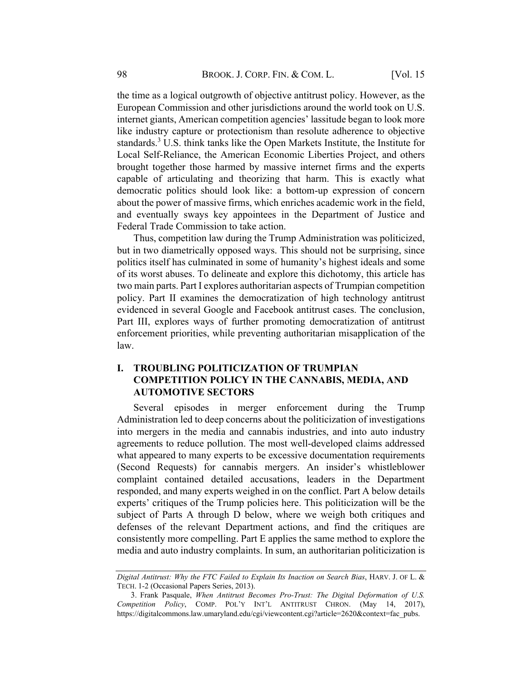the time as a logical outgrowth of objective antitrust policy. However, as the European Commission and other jurisdictions around the world took on U.S. internet giants, American competition agencies' lassitude began to look more like industry capture or protectionism than resolute adherence to objective standards.<sup>3</sup> U.S. think tanks like the Open Markets Institute, the Institute for Local Self-Reliance, the American Economic Liberties Project, and others brought together those harmed by massive internet firms and the experts capable of articulating and theorizing that harm. This is exactly what democratic politics should look like: a bottom-up expression of concern about the power of massive firms, which enriches academic work in the field, and eventually sways key appointees in the Department of Justice and Federal Trade Commission to take action.

Thus, competition law during the Trump Administration was politicized, but in two diametrically opposed ways. This should not be surprising, since politics itself has culminated in some of humanity's highest ideals and some of its worst abuses. To delineate and explore this dichotomy, this article has two main parts. Part I explores authoritarian aspects of Trumpian competition policy. Part II examines the democratization of high technology antitrust evidenced in several Google and Facebook antitrust cases. The conclusion, Part III, explores ways of further promoting democratization of antitrust enforcement priorities, while preventing authoritarian misapplication of the law.

### I. TROUBLING POLITICIZATION OF TRUMPIAN COMPETITION POLICY IN THE CANNABIS, MEDIA, AND **AUTOMOTIVE SECTORS**

Several episodes in merger enforcement during the Trump Administration led to deep concerns about the politicization of investigations into mergers in the media and cannabis industries, and into auto industry agreements to reduce pollution. The most well-developed claims addressed what appeared to many experts to be excessive documentation requirements (Second Requests) for cannabis mergers. An insider's whistleblower complaint contained detailed accusations, leaders in the Department responded, and many experts weighed in on the conflict. Part A below details experts' critiques of the Trump policies here. This politicization will be the subject of Parts A through D below, where we weigh both critiques and defenses of the relevant Department actions, and find the critiques are consistently more compelling. Part E applies the same method to explore the media and auto industry complaints. In sum, an authoritarian politicization is

Digital Antitrust: Why the FTC Failed to Explain Its Inaction on Search Bias, HARV. J. OF L. & TECH. 1-2 (Occasional Papers Series, 2013).

<sup>3.</sup> Frank Pasquale, When Antitrust Becomes Pro-Trust: The Digital Deformation of U.S. Competition Policy, COMP. POL'Y INT'L ANTITRUST CHRON. (May 14, 2017), https://digitalcommons.law.umaryland.edu/cgi/viewcontent.cgi?article=2620&context=fac\_pubs.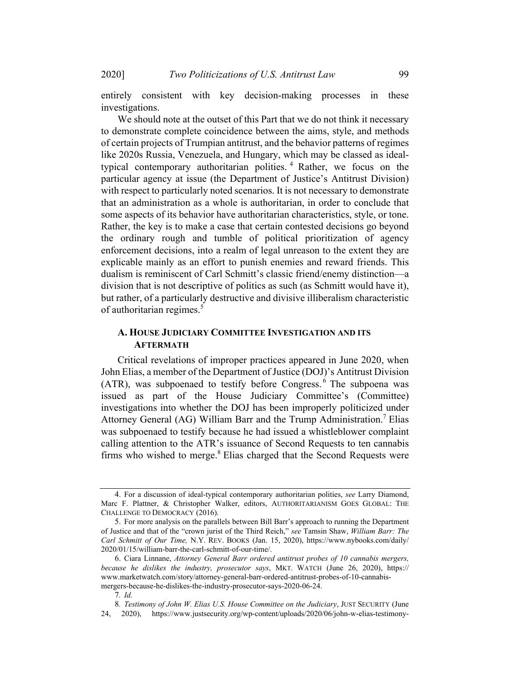2020] Two Politicizations of U.S. Antitrust Law 99

entirely consistent with key decision-making processes in these investigations.

We should note at the outset of this Part that we do not think it necessary to demonstrate complete coincidence between the aims, style, and methods of certain projects of Trumpian antitrust, and the behavior patterns of regimes like 2020s Russia, Venezuela, and Hungary, which may be classed as idealtypical contemporary authoritarian polities. <sup>4</sup> Rather, we focus on the particular agency at issue (the Department of Justice's Antitrust Division) with respect to particularly noted scenarios. It is not necessary to demonstrate that an administration as a whole is authoritarian, in order to conclude that some aspects of its behavior have authoritarian characteristics, style, or tone. Rather, the key is to make a case that certain contested decisions go beyond the ordinary rough and tumble of political prioritization of agency enforcement decisions, into a realm of legal unreason to the extent they are explicable mainly as an effort to punish enemies and reward friends. This dualism is reminiscent of Carl Schmitt's classic friend/enemy distinction—a division that is not descriptive of politics as such (as Schmitt would have it), but rather, of a particularly destructive and divisive illiberalism characteristic of authoritarian regimes.<sup>5</sup>

### A. HOUSE JUDICIARY COMMITTEE INVESTIGATION AND ITS **AFTERMATH**

Critical revelations of improper practices appeared in June 2020, when John Elias, a member of the Department of Justice (DOJ)'s Antitrust Division  $(ATR)$ , was subpoenaed to testify before Congress.<sup>6</sup> The subpoena was issued as part of the House Judiciary Committee's (Committee) investigations into whether the DOJ has been improperly politicized under Attorney General (AG) William Barr and the Trump Administration.<sup>7</sup> Elias was subpoenaed to testify because he had issued a whistleblower complaint calling attention to the ATR's issuance of Second Requests to ten cannabis firms who wished to merge. $8$  Elias charged that the Second Requests were

<sup>4.</sup> For a discussion of ideal-typical contemporary authoritarian polities, see Larry Diamond, Marc F. Plattner, & Christopher Walker, editors, AUTHORITARIANISM GOES GLOBAL: THE CHALLENGE TO DEMOCRACY (2016).

<sup>5.</sup> For more analysis on the parallels between Bill Barr's approach to running the Department of Justice and that of the "crown jurist of the Third Reich," see Tamsin Shaw, William Barr: The Carl Schmitt of Our Time, N.Y. REV. BOOKS (Jan. 15, 2020), https://www.nybooks.com/daily/ 2020/01/15/william-barr-the-carl-schmitt-of-our-time/.

<sup>6.</sup> Ciara Linnane, Attorney General Barr ordered antitrust probes of 10 cannabis mergers, because he dislikes the industry, prosecutor says, MKT. WATCH (June 26, 2020), https:// www.marketwatch.com/story/attorney-general-barr-ordered-antitrust-probes-of-10-cannabismergers-because-he-dislikes-the-industry-prosecutor-says-2020-06-24.

<sup>7</sup>. Id.

<sup>8</sup>. Testimony of John W. Elias U.S. House Committee on the Judiciary, JUST SECURITY (June 24, 2020), https://www.justsecurity.org/wp-content/uploads/2020/06/john-w-elias-testimony-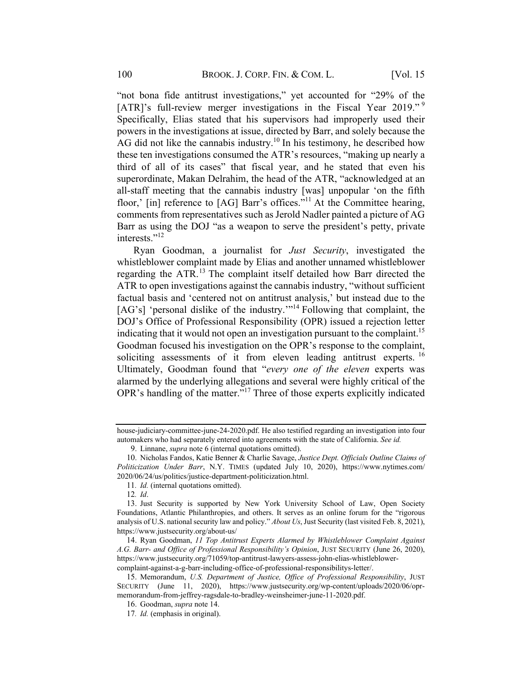"not bona fide antitrust investigations," yet accounted for "29% of the [ATR]'s full-review merger investigations in the Fiscal Year 2019."<sup>9</sup> Specifically, Elias stated that his supervisors had improperly used their powers in the investigations at issue, directed by Barr, and solely because the AG did not like the cannabis industry.<sup>10</sup> In his testimony, he described how these ten investigations consumed the ATR's resources, "making up nearly a third of all of its cases" that fiscal year, and he stated that even his superordinate, Makan Delrahim, the head of the ATR, "acknowledged at an all-staff meeting that the cannabis industry [was] unpopular 'on the fifth floor,' [in] reference to [AG] Barr's offices."<sup>11</sup> At the Committee hearing, comments from representatives such as Jerold Nadler painted a picture of AG Barr as using the DOJ "as a weapon to serve the president's petty, private interests."<sup>12</sup>

Ryan Goodman, a journalist for Just Security, investigated the whistleblower complaint made by Elias and another unnamed whistleblower regarding the ATR.<sup>13</sup> The complaint itself detailed how Barr directed the ATR to open investigations against the cannabis industry, "without sufficient factual basis and 'centered not on antitrust analysis,' but instead due to the [AG's] 'personal dislike of the industry.'"<sup>14</sup> Following that complaint, the DOJ's Office of Professional Responsibility (OPR) issued a rejection letter indicating that it would not open an investigation pursuant to the complaint.<sup>15</sup> Goodman focused his investigation on the OPR's response to the complaint, soliciting assessments of it from eleven leading antitrust experts.  $16$ Ultimately, Goodman found that "every one of the eleven experts was alarmed by the underlying allegations and several were highly critical of the OPR's handling of the matter."<sup>17</sup> Three of those experts explicitly indicated

house-judiciary-committee-june-24-2020.pdf. He also testified regarding an investigation into four automakers who had separately entered into agreements with the state of California. See id.

<sup>9.</sup> Linnane, supra note 6 (internal quotations omitted).

<sup>10.</sup> Nicholas Fandos, Katie Benner & Charlie Savage, Justice Dept. Officials Outline Claims of Politicization Under Barr, N.Y. TIMES (updated July 10, 2020), https://www.nytimes.com/ 2020/06/24/us/politics/justice-department-politicization.html.

<sup>11.</sup> *Id.* (internal quotations omitted).

<sup>13.</sup> Just Security is supported by New York University School of Law, Open Society Foundations, Atlantic Philanthropies, and others. It serves as an online forum for the "rigorous analysis of U.S. national security law and policy." About Us, Just Security (last visited Feb. 8, 2021), https://www.justsecurity.org/about-us/

<sup>14.</sup> Ryan Goodman, 11 Top Antitrust Experts Alarmed by Whistleblower Complaint Against A.G. Barr- and Office of Professional Responsibility's Opinion, JUST SECURITY (June 26, 2020), https://www.justsecurity.org/71059/top-antitrust-lawyers-assess-john-elias-whistleblower-

complaint-against-a-g-barr-including-office-of-professional-responsibilitys-letter/.

<sup>15.</sup> Memorandum, U.S. Department of Justice, Office of Professional Responsibility, JUST SECURITY (June 11, 2020), https://www.justsecurity.org/wp-content/uploads/2020/06/oprmemorandum-from-jeffrey-ragsdale-to-bradley-weinsheimer-june-11-2020.pdf.

<sup>16.</sup> Goodman, supra note 14.

<sup>17</sup>. Id. (emphasis in original).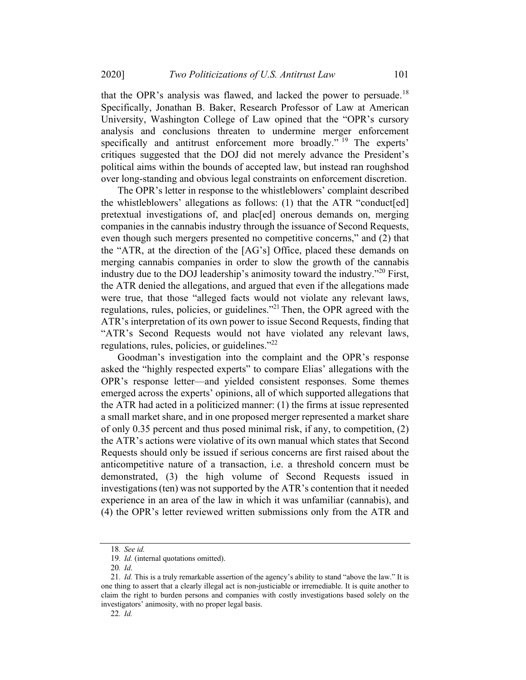that the OPR's analysis was flawed, and lacked the power to persuade.<sup>18</sup> Specifically, Jonathan B. Baker, Research Professor of Law at American University, Washington College of Law opined that the "OPR's cursory analysis and conclusions threaten to undermine merger enforcement specifically and antitrust enforcement more broadly." <sup>19</sup> The experts' critiques suggested that the DOJ did not merely advance the President's political aims within the bounds of accepted law, but instead ran roughshod over long-standing and obvious legal constraints on enforcement discretion.

The OPR's letter in response to the whistleblowers' complaint described the whistleblowers' allegations as follows: (1) that the ATR "conduct[ed] pretextual investigations of, and plac[ed] onerous demands on, merging companies in the cannabis industry through the issuance of Second Requests, even though such mergers presented no competitive concerns," and (2) that the "ATR, at the direction of the [AG's] Office, placed these demands on merging cannabis companies in order to slow the growth of the cannabis industry due to the DOJ leadership's animosity toward the industry."20 First, the ATR denied the allegations, and argued that even if the allegations made were true, that those "alleged facts would not violate any relevant laws, regulations, rules, policies, or guidelines."21 Then, the OPR agreed with the ATR's interpretation of its own power to issue Second Requests, finding that "ATR's Second Requests would not have violated any relevant laws, regulations, rules, policies, or guidelines."<sup>22</sup>

Goodman's investigation into the complaint and the OPR's response asked the "highly respected experts" to compare Elias' allegations with the OPR's response letter—and yielded consistent responses. Some themes emerged across the experts' opinions, all of which supported allegations that the ATR had acted in a politicized manner: (1) the firms at issue represented a small market share, and in one proposed merger represented a market share of only 0.35 percent and thus posed minimal risk, if any, to competition, (2) the ATR's actions were violative of its own manual which states that Second Requests should only be issued if serious concerns are first raised about the anticompetitive nature of a transaction, i.e. a threshold concern must be demonstrated, (3) the high volume of Second Requests issued in investigations (ten) was not supported by the ATR's contention that it needed experience in an area of the law in which it was unfamiliar (cannabis), and (4) the OPR's letter reviewed written submissions only from the ATR and

<sup>18</sup>. See id.

<sup>19</sup>. Id. (internal quotations omitted).

<sup>20</sup>. Id.

<sup>21</sup>. Id. This is a truly remarkable assertion of the agency's ability to stand "above the law." It is one thing to assert that a clearly illegal act is non-justiciable or irremediable. It is quite another to claim the right to burden persons and companies with costly investigations based solely on the investigators' animosity, with no proper legal basis.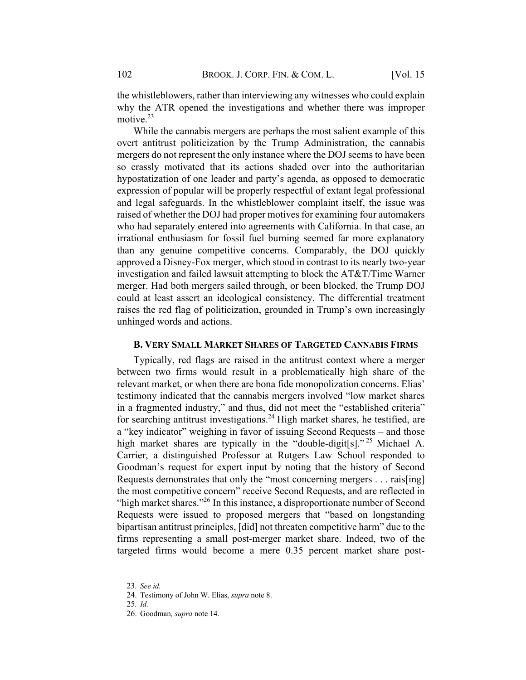the whistleblowers, rather than interviewing any witnesses who could explain why the ATR opened the investigations and whether there was improper motive.<sup>23</sup>

While the cannabis mergers are perhaps the most salient example of this overt antitrust politicization by the Trump Administration, the cannabis mergers do not represent the only instance where the DOJ seems to have been so crassly motivated that its actions shaded over into the authoritarian hypostatization of one leader and party's agenda, as opposed to democratic expression of popular will be properly respectful of extant legal professional and legal safeguards. In the whistleblower complaint itself, the issue was raised of whether the DOJ had proper motives for examining four automakers who had separately entered into agreements with California. In that case, an irrational enthusiasm for fossil fuel burning seemed far more explanatory than any genuine competitive concerns. Comparably, the DOJ quickly approved a Disney-Fox merger, which stood in contrast to its nearly two-year investigation and failed lawsuit attempting to block the AT&T/Time Warner merger. Had both mergers sailed through, or been blocked, the Trump DOJ could at least assert an ideological consistency. The differential treatment raises the red flag of politicization, grounded in Trump's own increasingly unhinged words and actions.

#### **B. VERY SMALL MARKET SHARES OF TARGETED CANNABIS FIRMS**

Typically, red flags are raised in the antitrust context where a merger between two firms would result in a problematically high share of the relevant market, or when there are bona fide monopolization concerns. Elias' testimony indicated that the cannabis mergers involved "low market shares in a fragmented industry," and thus, did not meet the "established criteria" for searching antitrust investigations. <sup>24</sup> High market shares, he testified, are a "key indicator" weighing in favor of issuing Second Requests – and those high market shares are typically in the "double-digit[s]."<sup>25</sup> Michael A. Carrier, a distinguished Professor at Rutgers Law School responded to Goodman's request for expert input by noting that the history of Second Requests demonstrates that only the "most concerning mergers . . . rais[ing] the most competitive concern" receive Second Requests, and are reflected in "high market shares."<sup>26</sup> In this instance, a disproportionate number of Second Requests were issued to proposed mergers that "based on longstanding bipartisan antitrust principles, [did] not threaten competitive harm" due to the firms representing a small post-merger market share. Indeed, two of the targeted firms would become a mere 0.35 percent market share post-

<sup>23</sup>. See id.

<sup>24.</sup> Testimony of John W. Elias, supra note 8.

<sup>25</sup>. Id.

<sup>26.</sup> Goodman, supra note 14.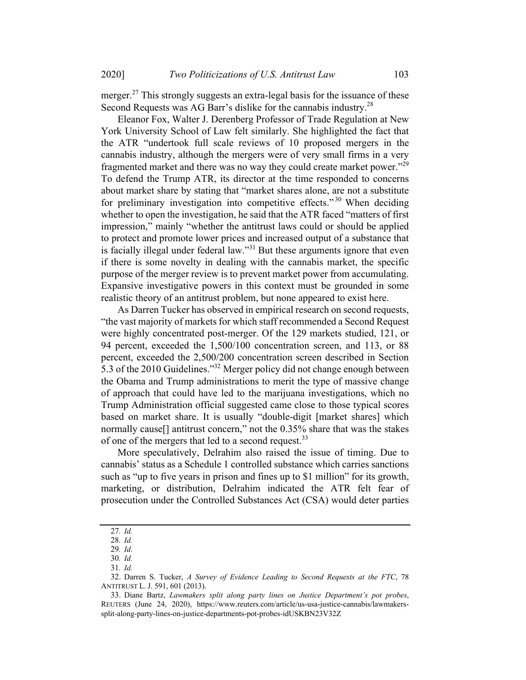merger.<sup>27</sup> This strongly suggests an extra-legal basis for the issuance of these Second Requests was AG Barr's dislike for the cannabis industry.<sup>28</sup>

Eleanor Fox, Walter J. Derenberg Professor of Trade Regulation at New York University School of Law felt similarly. She highlighted the fact that the ATR "undertook full scale reviews of 10 proposed mergers in the cannabis industry, although the mergers were of very small firms in a very fragmented market and there was no way they could create market power."<sup>29</sup> To defend the Trump ATR, its director at the time responded to concerns about market share by stating that "market shares alone, are not a substitute for preliminary investigation into competitive effects."<sup>30</sup> When deciding whether to open the investigation, he said that the ATR faced "matters of first impression," mainly "whether the antitrust laws could or should be applied to protect and promote lower prices and increased output of a substance that is facially illegal under federal law."<sup>31</sup> But these arguments ignore that even if there is some novelty in dealing with the cannabis market, the specific purpose of the merger review is to prevent market power from accumulating. Expansive investigative powers in this context must be grounded in some realistic theory of an antitrust problem, but none appeared to exist here.

As Darren Tucker has observed in empirical research on second requests, "the vast majority of markets for which staff recommended a Second Request were highly concentrated post-merger. Of the 129 markets studied, 121, or 94 percent, exceeded the 1,500/100 concentration screen, and 113, or 88 percent, exceeded the 2,500/200 concentration screen described in Section 5.3 of the 2010 Guidelines."32 Merger policy did not change enough between the Obama and Trump administrations to merit the type of massive change of approach that could have led to the marijuana investigations, which no Trump Administration official suggested came close to those typical scores based on market share. It is usually "double-digit [market shares] which normally cause<sup>[]</sup> antitrust concern," not the 0.35% share that was the stakes of one of the mergers that led to a second request.<sup>33</sup>

More speculatively, Delrahim also raised the issue of timing. Due to cannabis' status as a Schedule 1 controlled substance which carries sanctions such as "up to five years in prison and fines up to \$1 million" for its growth, marketing, or distribution, Delrahim indicated the ATR felt fear of prosecution under the Controlled Substances Act (CSA) would deter parties

<sup>27</sup>. Id.

<sup>28</sup>. Id.

<sup>29</sup>. Id.

<sup>30</sup>. Id.

<sup>31</sup>. Id.

<sup>32.</sup> Darren S. Tucker, A Survey of Evidence Leading to Second Requests at the FTC, 78 ANTITRUST L. J. 591, 601 (2013).

<sup>33.</sup> Diane Bartz, Lawmakers split along party lines on Justice Department's pot probes, REUTERS (June 24, 2020), https://www.reuters.com/article/us-usa-justice-cannabis/lawmakerssplit-along-party-lines-on-justice-departments-pot-probes-idUSKBN23V32Z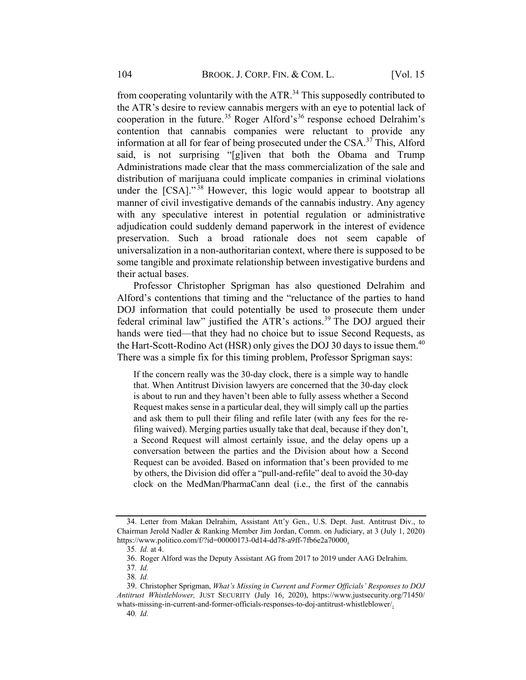from cooperating voluntarily with the  $ATR<sup>34</sup>$ . This supposedly contributed to the ATR's desire to review cannabis mergers with an eye to potential lack of cooperation in the future.<sup>35</sup> Roger Alford's<sup>36</sup> response echoed Delrahim's contention that cannabis companies were reluctant to provide any information at all for fear of being prosecuted under the CSA.<sup>37</sup> This, Alford said, is not surprising "[g]iven that both the Obama and Trump Administrations made clear that the mass commercialization of the sale and distribution of marijuana could implicate companies in criminal violations under the [CSA]."<sup>38</sup> However, this logic would appear to bootstrap all manner of civil investigative demands of the cannabis industry. Any agency with any speculative interest in potential regulation or administrative adjudication could suddenly demand paperwork in the interest of evidence preservation. Such a broad rationale does not seem capable of universalization in a non-authoritarian context, where there is supposed to be some tangible and proximate relationship between investigative burdens and their actual bases.

Professor Christopher Sprigman has also questioned Delrahim and Alford's contentions that timing and the "reluctance of the parties to hand DOJ information that could potentially be used to prosecute them under federal criminal law" justified the ATR's actions.<sup>39</sup> The DOJ argued their hands were tied—that they had no choice but to issue Second Requests, as the Hart-Scott-Rodino Act (HSR) only gives the DOJ 30 days to issue them.<sup>40</sup> There was a simple fix for this timing problem, Professor Sprigman says:

If the concern really was the 30-day clock, there is a simple way to handle that. When Antitrust Division lawyers are concerned that the 30-day clock is about to run and they haven't been able to fully assess whether a Second Request makes sense in a particular deal, they will simply call up the parties and ask them to pull their filing and refile later (with any fees for the refiling waived). Merging parties usually take that deal, because if they don't, a Second Request will almost certainly issue, and the delay opens up a conversation between the parties and the Division about how a Second Request can be avoided. Based on information that's been provided to me by others, the Division did offer a "pull-and-refile" deal to avoid the 30-day clock on the MedMan/PharmaCann deal (i.e., the first of the cannabis

<sup>34.</sup> Letter from Makan Delrahim, Assistant Att'y Gen., U.S. Dept. Just. Antitrust Div., to Chairman Jerold Nadler & Ranking Member Jim Jordan, Comm. on Judiciary, at 3 (July 1, 2020) https://www.politico.com/f/?id=00000173-0d14-dd78-a9ff-7fb6e2a70000.

<sup>35</sup>. Id. at 4.

<sup>36.</sup> Roger Alford was the Deputy Assistant AG from 2017 to 2019 under AAG Delrahim.

<sup>37</sup>. Id.

<sup>38</sup>. Id.

<sup>39.</sup> Christopher Sprigman, What's Missing in Current and Former Officials' Responses to DOJ Antitrust Whistleblower, JUST SECURITY (July 16, 2020), https://www.justsecurity.org/71450/ whats-missing-in-current-and-former-officials-responses-to-doj-antitrust-whistleblower/.

<sup>40</sup>. Id.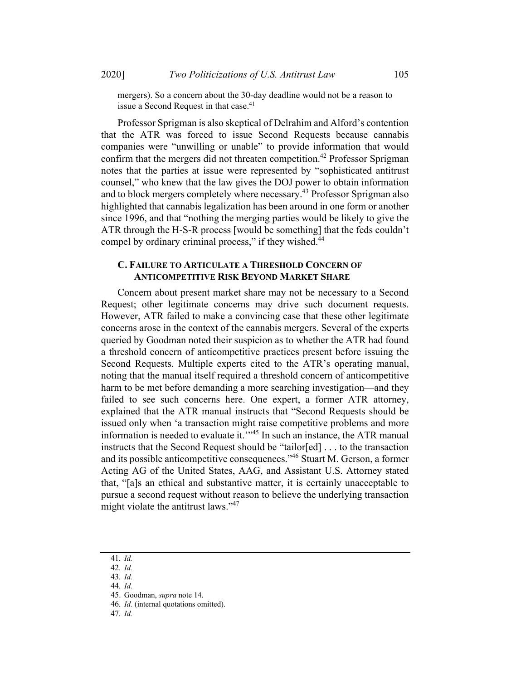mergers). So a concern about the 30-day deadline would not be a reason to issue a Second Request in that case.<sup>41</sup>

Professor Sprigman is also skeptical of Delrahim and Alford's contention that the ATR was forced to issue Second Requests because cannabis companies were "unwilling or unable" to provide information that would confirm that the mergers did not threaten competition.<sup>42</sup> Professor Sprigman notes that the parties at issue were represented by "sophisticated antitrust counsel," who knew that the law gives the DOJ power to obtain information and to block mergers completely where necessary.<sup>43</sup> Professor Sprigman also highlighted that cannabis legalization has been around in one form or another since 1996, and that "nothing the merging parties would be likely to give the ATR through the H-S-R process [would be something] that the feds couldn't compel by ordinary criminal process," if they wished.<sup>44</sup>

#### C. FAILURE TO ARTICULATE A THRESHOLD CONCERN OF **ANTICOMPETITIVE RISK BEYOND MARKET SHARE**

Concern about present market share may not be necessary to a Second Request; other legitimate concerns may drive such document requests. However, ATR failed to make a convincing case that these other legitimate concerns arose in the context of the cannabis mergers. Several of the experts queried by Goodman noted their suspicion as to whether the ATR had found a threshold concern of anticompetitive practices present before issuing the Second Requests. Multiple experts cited to the ATR's operating manual, noting that the manual itself required a threshold concern of anticompetitive harm to be met before demanding a more searching investigation—and they failed to see such concerns here. One expert, a former ATR attorney, explained that the ATR manual instructs that "Second Requests should be issued only when 'a transaction might raise competitive problems and more information is needed to evaluate it.'"45 In such an instance, the ATR manual instructs that the Second Request should be "tailor[ed] . . . to the transaction and its possible anticompetitive consequences."<sup>46</sup> Stuart M. Gerson, a former Acting AG of the United States, AAG, and Assistant U.S. Attorney stated that, "[a]s an ethical and substantive matter, it is certainly unacceptable to pursue a second request without reason to believe the underlying transaction might violate the antitrust laws."<sup>47</sup>

<sup>41</sup>. Id.

<sup>42</sup>. Id.

<sup>43</sup>. Id. 44. Id.

<sup>45.</sup> Goodman, supra note 14.

<sup>46</sup>. Id. (internal quotations omitted).

<sup>47</sup>. Id.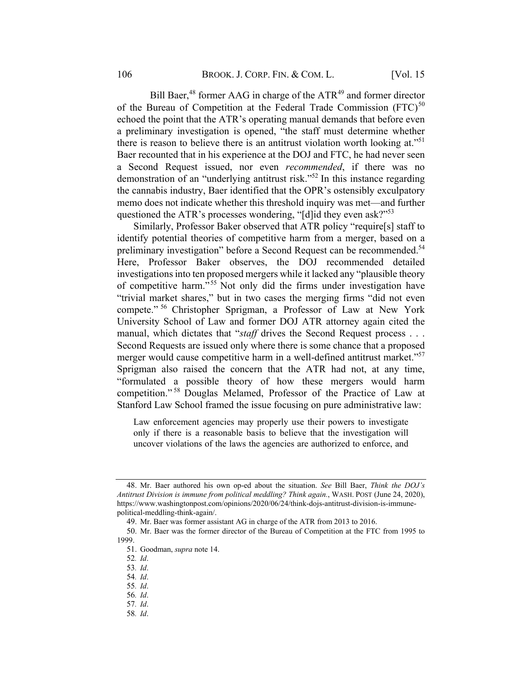Bill Baer,<sup>48</sup> former AAG in charge of the ATR<sup>49</sup> and former director of the Bureau of Competition at the Federal Trade Commission  $(FTC)^{50}$ echoed the point that the ATR's operating manual demands that before even a preliminary investigation is opened, "the staff must determine whether there is reason to believe there is an antitrust violation worth looking at."<sup>51</sup> Baer recounted that in his experience at the DOJ and FTC, he had never seen a Second Request issued, nor even recommended, if there was no demonstration of an "underlying antitrust risk."52 In this instance regarding the cannabis industry, Baer identified that the OPR's ostensibly exculpatory memo does not indicate whether this threshold inquiry was met—and further questioned the ATR's processes wondering, "[d]id they even ask?"<sup>53</sup>

Similarly, Professor Baker observed that ATR policy "require[s] staff to identify potential theories of competitive harm from a merger, based on a preliminary investigation" before a Second Request can be recommended.<sup>54</sup> Here, Professor Baker observes, the DOJ recommended detailed investigations into ten proposed mergers while it lacked any "plausible theory of competitive harm." <sup>55</sup> Not only did the firms under investigation have "trivial market shares," but in two cases the merging firms "did not even compete." <sup>56</sup> Christopher Sprigman, a Professor of Law at New York University School of Law and former DOJ ATR attorney again cited the manual, which dictates that "staff drives the Second Request process . . . Second Requests are issued only where there is some chance that a proposed merger would cause competitive harm in a well-defined antitrust market."<sup>57</sup> Sprigman also raised the concern that the ATR had not, at any time, "formulated a possible theory of how these mergers would harm competition." <sup>58</sup> Douglas Melamed, Professor of the Practice of Law at Stanford Law School framed the issue focusing on pure administrative law:

Law enforcement agencies may properly use their powers to investigate only if there is a reasonable basis to believe that the investigation will uncover violations of the laws the agencies are authorized to enforce, and

54. Id.

<sup>48.</sup> Mr. Baer authored his own op-ed about the situation. See Bill Baer, Think the DOJ's Antitrust Division is immune from political meddling? Think again., WASH. POST (June 24, 2020), https://www.washingtonpost.com/opinions/2020/06/24/think-dojs-antitrust-division-is-immunepolitical-meddling-think-again/.

<sup>49.</sup> Mr. Baer was former assistant AG in charge of the ATR from 2013 to 2016.

<sup>50.</sup> Mr. Baer was the former director of the Bureau of Competition at the FTC from 1995 to 1999.

<sup>51.</sup> Goodman, supra note 14.

<sup>52</sup>. Id.

<sup>53</sup>. Id.

<sup>55</sup>. Id.

<sup>57</sup>. Id. 58. Id.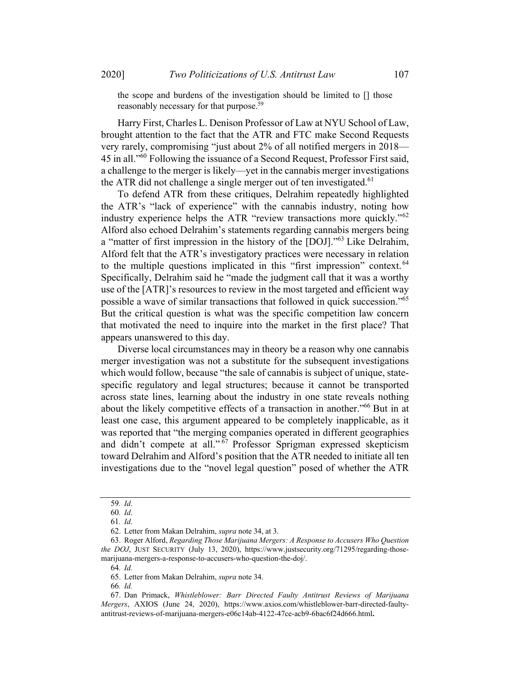the scope and burdens of the investigation should be limited to [] those reasonably necessary for that purpose.<sup>59</sup>

Harry First, Charles L. Denison Professor of Law at NYU School of Law, brought attention to the fact that the ATR and FTC make Second Requests very rarely, compromising "just about 2% of all notified mergers in 2018— 45 in all."<sup>60</sup> Following the issuance of a Second Request, Professor First said, a challenge to the merger is likely—yet in the cannabis merger investigations the ATR did not challenge a single merger out of ten investigated.<sup>61</sup>

To defend ATR from these critiques, Delrahim repeatedly highlighted the ATR's "lack of experience" with the cannabis industry, noting how industry experience helps the ATR "review transactions more quickly."<sup>62</sup> Alford also echoed Delrahim's statements regarding cannabis mergers being a "matter of first impression in the history of the [DOJ]."<sup>63</sup> Like Delrahim, Alford felt that the ATR's investigatory practices were necessary in relation to the multiple questions implicated in this "first impression" context.<sup>64</sup> Specifically, Delrahim said he "made the judgment call that it was a worthy use of the [ATR]'s resources to review in the most targeted and efficient way possible a wave of similar transactions that followed in quick succession."65 But the critical question is what was the specific competition law concern that motivated the need to inquire into the market in the first place? That appears unanswered to this day.

Diverse local circumstances may in theory be a reason why one cannabis merger investigation was not a substitute for the subsequent investigations which would follow, because "the sale of cannabis is subject of unique, statespecific regulatory and legal structures; because it cannot be transported across state lines, learning about the industry in one state reveals nothing about the likely competitive effects of a transaction in another."66 But in at least one case, this argument appeared to be completely inapplicable, as it was reported that "the merging companies operated in different geographies and didn't compete at all." <sup>67</sup> Professor Sprigman expressed skepticism toward Delrahim and Alford's position that the ATR needed to initiate all ten investigations due to the "novel legal question" posed of whether the ATR

<sup>59</sup>. Id.

<sup>60</sup>. Id.

<sup>61</sup>. Id.

<sup>62.</sup> Letter from Makan Delrahim, supra note 34, at 3.

<sup>63.</sup> Roger Alford, Regarding Those Marijuana Mergers: A Response to Accusers Who Question the DOJ, JUST SECURITY (July 13, 2020), https://www.justsecurity.org/71295/regarding-thosemarijuana-mergers-a-response-to-accusers-who-question-the-doj/.

<sup>64</sup>. Id.

<sup>65.</sup> Letter from Makan Delrahim, supra note 34.

<sup>67.</sup> Dan Primack, Whistleblower: Barr Directed Faulty Antitrust Reviews of Marijuana Mergers, AXIOS (June 24, 2020), https://www.axios.com/whistleblower-barr-directed-faultyantitrust-reviews-of-marijuana-mergers-e06c14ab-4122-47ce-acb9-6bac6f24d666.html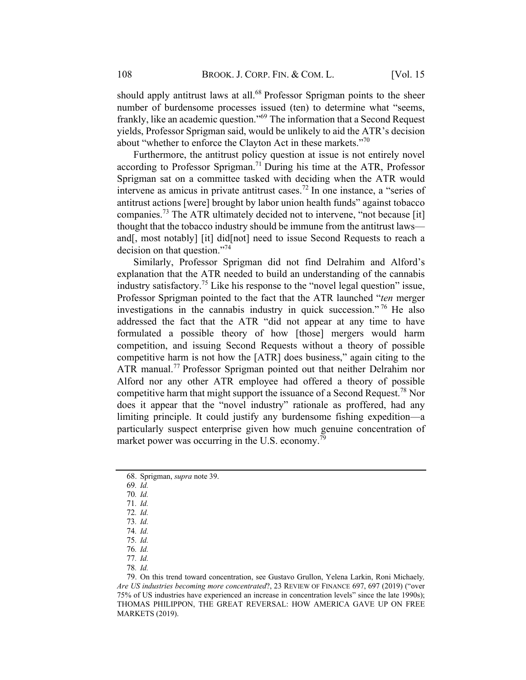should apply antitrust laws at all.<sup>68</sup> Professor Sprigman points to the sheer number of burdensome processes issued (ten) to determine what "seems, frankly, like an academic question."69 The information that a Second Request yields, Professor Sprigman said, would be unlikely to aid the ATR's decision about "whether to enforce the Clayton Act in these markets."<sup>70</sup>

Furthermore, the antitrust policy question at issue is not entirely novel according to Professor Sprigman.<sup>71</sup> During his time at the ATR, Professor Sprigman sat on a committee tasked with deciding when the ATR would intervene as amicus in private antitrust cases.<sup>72</sup> In one instance, a "series of antitrust actions [were] brought by labor union health funds" against tobacco companies.<sup>73</sup> The ATR ultimately decided not to intervene, "not because [it] thought that the tobacco industry should be immune from the antitrust laws and[, most notably] [it] did[not] need to issue Second Requests to reach a decision on that question."74

Similarly, Professor Sprigman did not find Delrahim and Alford's explanation that the ATR needed to build an understanding of the cannabis industry satisfactory.<sup>75</sup> Like his response to the "novel legal question" issue, Professor Sprigman pointed to the fact that the ATR launched "ten merger investigations in the cannabis industry in quick succession."<sup>76</sup> He also addressed the fact that the ATR "did not appear at any time to have formulated a possible theory of how [those] mergers would harm competition, and issuing Second Requests without a theory of possible competitive harm is not how the [ATR] does business," again citing to the ATR manual.<sup>77</sup> Professor Sprigman pointed out that neither Delrahim nor Alford nor any other ATR employee had offered a theory of possible competitive harm that might support the issuance of a Second Request.<sup>78</sup> Nor does it appear that the "novel industry" rationale as proffered, had any limiting principle. It could justify any burdensome fishing expedition—a particularly suspect enterprise given how much genuine concentration of market power was occurring in the U.S. economy.<sup>79</sup>

69. Id.

- 71. Id. 72. Id.
- 73. Id.
- 74. Id.

<sup>68.</sup> Sprigman, supra note 39.

<sup>75</sup>. Id.

<sup>76</sup>. Id.

<sup>77</sup>. Id.

<sup>78</sup>. Id.

<sup>79.</sup> On this trend toward concentration, see Gustavo Grullon, Yelena Larkin, Roni Michaely, Are US industries becoming more concentrated?, 23 REVIEW OF FINANCE 697, 697 (2019) ("over 75% of US industries have experienced an increase in concentration levels" since the late 1990s); THOMAS PHILIPPON, THE GREAT REVERSAL: HOW AMERICA GAVE UP ON FREE MARKETS (2019).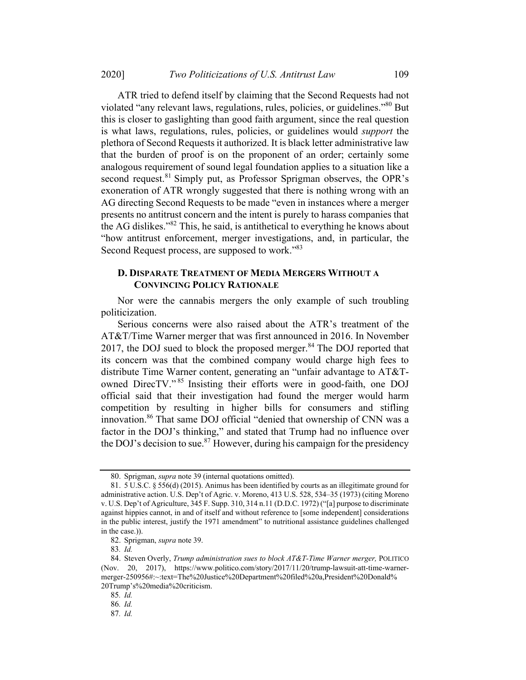ATR tried to defend itself by claiming that the Second Requests had not violated "any relevant laws, regulations, rules, policies, or guidelines."<sup>80</sup> But this is closer to gaslighting than good faith argument, since the real question is what laws, regulations, rules, policies, or guidelines would support the plethora of Second Requests it authorized. It is black letter administrative law that the burden of proof is on the proponent of an order; certainly some analogous requirement of sound legal foundation applies to a situation like a second request.<sup>81</sup> Simply put, as Professor Sprigman observes, the OPR's exoneration of ATR wrongly suggested that there is nothing wrong with an AG directing Second Requests to be made "even in instances where a merger presents no antitrust concern and the intent is purely to harass companies that the AG dislikes."<sup>82</sup> This, he said, is antithetical to everything he knows about "how antitrust enforcement, merger investigations, and, in particular, the Second Request process, are supposed to work."83

#### D. DISPARATE TREATMENT OF MEDIA MERGERS WITHOUT A **CONVINCING POLICY RATIONALE**

Nor were the cannabis mergers the only example of such troubling politicization.

Serious concerns were also raised about the ATR's treatment of the AT&T/Time Warner merger that was first announced in 2016. In November 2017, the DOJ sued to block the proposed merger. $84$  The DOJ reported that its concern was that the combined company would charge high fees to distribute Time Warner content, generating an "unfair advantage to AT&Towned DirecTV."<sup>85</sup> Insisting their efforts were in good-faith, one DOJ official said that their investigation had found the merger would harm competition by resulting in higher bills for consumers and stifling innovation.86 That same DOJ official "denied that ownership of CNN was a factor in the DOJ's thinking," and stated that Trump had no influence over the DOJ's decision to sue.<sup>87</sup> However, during his campaign for the presidency

<sup>80.</sup> Sprigman, supra note 39 (internal quotations omitted).

<sup>81.</sup> 5 U.S.C. § 556(d) (2015). Animus has been identified by courts as an illegitimate ground for administrative action. U.S. Dep't of Agric. v. Moreno, 413 U.S. 528, 534–35 (1973) (citing Moreno v. U.S. Dep't of Agriculture, 345 F. Supp. 310, 314 n.11 (D.D.C. 1972) ("[a] purpose to discriminate against hippies cannot, in and of itself and without reference to [some independent] considerations in the public interest, justify the 1971 amendment" to nutritional assistance guidelines challenged in the case.)).

<sup>82.</sup> Sprigman, supra note 39.

<sup>83</sup>. Id.

<sup>84.</sup> Steven Overly, Trump administration sues to block AT&T-Time Warner merger, POLITICO (Nov. 20, 2017), https://www.politico.com/story/2017/11/20/trump-lawsuit-att-time-warnermerger-250956#:~:text=The%20Justice%20Department%20filed%20a,President%20Donald% 20Trump's%20media%20criticism.

<sup>85</sup>. Id.

<sup>86</sup>. Id.

<sup>87</sup>. Id.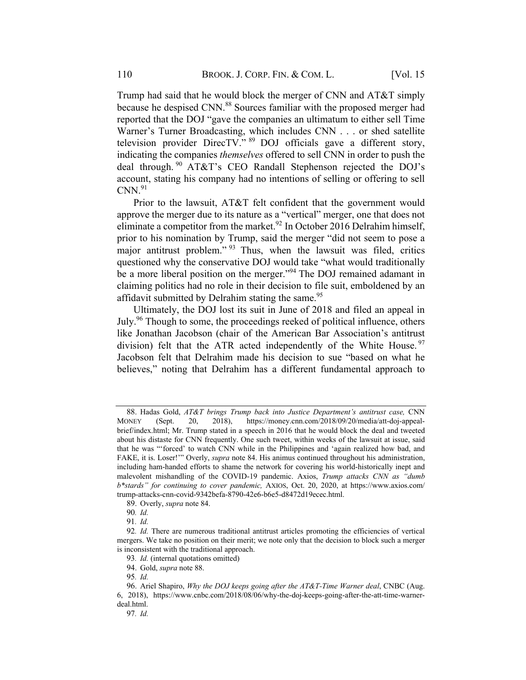Trump had said that he would block the merger of CNN and AT&T simply because he despised CNN.<sup>88</sup> Sources familiar with the proposed merger had reported that the DOJ "gave the companies an ultimatum to either sell Time Warner's Turner Broadcasting, which includes CNN . . . or shed satellite television provider DirecTV."  $89$  DOJ officials gave a different story, indicating the companies themselves offered to sell CNN in order to push the deal through. <sup>90</sup> AT&T's CEO Randall Stephenson rejected the DOJ's account, stating his company had no intentions of selling or offering to sell  $CNN.<sup>91</sup>$ 

Prior to the lawsuit, AT&T felt confident that the government would approve the merger due to its nature as a "vertical" merger, one that does not eliminate a competitor from the market.<sup>92</sup> In October 2016 Delrahim himself, prior to his nomination by Trump, said the merger "did not seem to pose a major antitrust problem." <sup>93</sup> Thus, when the lawsuit was filed, critics questioned why the conservative DOJ would take "what would traditionally be a more liberal position on the merger."<sup>94</sup> The DOJ remained adamant in claiming politics had no role in their decision to file suit, emboldened by an affidavit submitted by Delrahim stating the same.<sup>95</sup>

Ultimately, the DOJ lost its suit in June of 2018 and filed an appeal in July.<sup>96</sup> Though to some, the proceedings reeked of political influence, others like Jonathan Jacobson (chair of the American Bar Association's antitrust division) felt that the ATR acted independently of the White House.<sup>97</sup> Jacobson felt that Delrahim made his decision to sue "based on what he believes," noting that Delrahim has a different fundamental approach to

<sup>88.</sup> Hadas Gold, AT&T brings Trump back into Justice Department's antitrust case, CNN MONEY (Sept. 20, 2018), https://money.cnn.com/2018/09/20/media/att-doj-appealbrief/index.html; Mr. Trump stated in a speech in 2016 that he would block the deal and tweeted about his distaste for CNN frequently. One such tweet, within weeks of the lawsuit at issue, said that he was "'forced' to watch CNN while in the Philippines and 'again realized how bad, and FAKE, it is. Loser!"" Overly, *supra* note 84. His animus continued throughout his administration, including ham-handed efforts to shame the network for covering his world-historically inept and malevolent mishandling of the COVID-19 pandemic. Axios, Trump attacks CNN as "dumb b\*stards" for continuing to cover pandemic, AXIOS, Oct. 20, 2020, at https://www.axios.com/ trump-attacks-cnn-covid-9342befa-8790-42e6-b6e5-d8472d19ecec.html.

<sup>89.</sup> Overly, supra note 84.

<sup>90</sup>. Id.

<sup>91</sup>. Id.

<sup>92</sup>. Id. There are numerous traditional antitrust articles promoting the efficiencies of vertical mergers. We take no position on their merit; we note only that the decision to block such a merger is inconsistent with the traditional approach.

<sup>93.</sup> Id. (internal quotations omitted)

<sup>94.</sup> Gold, supra note 88.

<sup>95</sup>. Id.

<sup>96.</sup> Ariel Shapiro, Why the DOJ keeps going after the AT&T-Time Warner deal, CNBC (Aug. 6, 2018), https://www.cnbc.com/2018/08/06/why-the-doj-keeps-going-after-the-att-time-warnerdeal.html.

<sup>97</sup>. Id.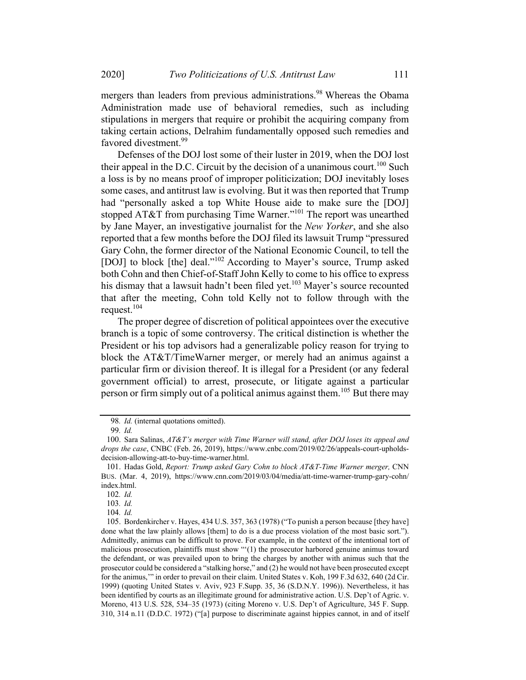mergers than leaders from previous administrations.<sup>98</sup> Whereas the Obama Administration made use of behavioral remedies, such as including stipulations in mergers that require or prohibit the acquiring company from taking certain actions, Delrahim fundamentally opposed such remedies and favored divestment.<sup>99</sup>

Defenses of the DOJ lost some of their luster in 2019, when the DOJ lost their appeal in the D.C. Circuit by the decision of a unanimous court.<sup>100</sup> Such a loss is by no means proof of improper politicization; DOJ inevitably loses some cases, and antitrust law is evolving. But it was then reported that Trump had "personally asked a top White House aide to make sure the [DOJ] stopped AT&T from purchasing Time Warner."101 The report was unearthed by Jane Mayer, an investigative journalist for the New Yorker, and she also reported that a few months before the DOJ filed its lawsuit Trump "pressured Gary Cohn, the former director of the National Economic Council, to tell the [DOJ] to block [the] deal."<sup>102</sup> According to Mayer's source, Trump asked both Cohn and then Chief-of-Staff John Kelly to come to his office to express his dismay that a lawsuit hadn't been filed yet.<sup>103</sup> Mayer's source recounted that after the meeting, Cohn told Kelly not to follow through with the request. $104$ 

The proper degree of discretion of political appointees over the executive branch is a topic of some controversy. The critical distinction is whether the President or his top advisors had a generalizable policy reason for trying to block the AT&T/TimeWarner merger, or merely had an animus against a particular firm or division thereof. It is illegal for a President (or any federal government official) to arrest, prosecute, or litigate against a particular person or firm simply out of a political animus against them.<sup>105</sup> But there may

<sup>98</sup>. Id. (internal quotations omitted).

<sup>99</sup>. Id.

<sup>100.</sup> Sara Salinas, AT&T's merger with Time Warner will stand, after DOJ loses its appeal and drops the case, CNBC (Feb. 26, 2019), https://www.cnbc.com/2019/02/26/appeals-court-upholdsdecision-allowing-att-to-buy-time-warner.html.

<sup>101.</sup> Hadas Gold, Report: Trump asked Gary Cohn to block AT&T-Time Warner merger, CNN BUS. (Mar. 4, 2019), https://www.cnn.com/2019/03/04/media/att-time-warner-trump-gary-cohn/ index.html.

<sup>102</sup>. Id.

<sup>104</sup>. Id.

<sup>105.</sup> Bordenkircher v. Hayes, 434 U.S. 357, 363 (1978) ("To punish a person because [they have] done what the law plainly allows [them] to do is a due process violation of the most basic sort."). Admittedly, animus can be difficult to prove. For example, in the context of the intentional tort of malicious prosecution, plaintiffs must show "'(1) the prosecutor harbored genuine animus toward the defendant, or was prevailed upon to bring the charges by another with animus such that the prosecutor could be considered a "stalking horse," and (2) he would not have been prosecuted except for the animus,'" in order to prevail on their claim. United States v. Koh, 199 F.3d 632, 640 (2d Cir. 1999) (quoting United States v. Aviv, 923 F.Supp. 35, 36 (S.D.N.Y. 1996)). Nevertheless, it has been identified by courts as an illegitimate ground for administrative action. U.S. Dep't of Agric. v. Moreno, 413 U.S. 528, 534–35 (1973) (citing Moreno v. U.S. Dep't of Agriculture, 345 F. Supp. 310, 314 n.11 (D.D.C. 1972) ("[a] purpose to discriminate against hippies cannot, in and of itself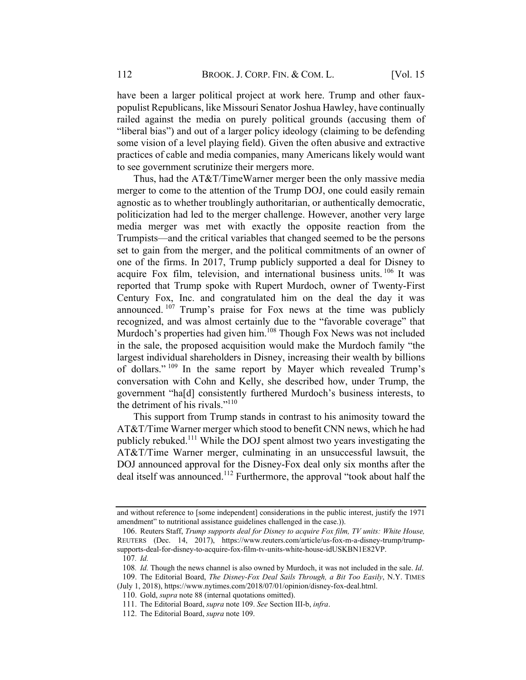have been a larger political project at work here. Trump and other fauxpopulist Republicans, like Missouri Senator Joshua Hawley, have continually railed against the media on purely political grounds (accusing them of "liberal bias") and out of a larger policy ideology (claiming to be defending some vision of a level playing field). Given the often abusive and extractive practices of cable and media companies, many Americans likely would want to see government scrutinize their mergers more.

Thus, had the AT&T/TimeWarner merger been the only massive media merger to come to the attention of the Trump DOJ, one could easily remain agnostic as to whether troublingly authoritarian, or authentically democratic, politicization had led to the merger challenge. However, another very large media merger was met with exactly the opposite reaction from the Trumpists—and the critical variables that changed seemed to be the persons set to gain from the merger, and the political commitments of an owner of one of the firms. In 2017, Trump publicly supported a deal for Disney to acquire Fox film, television, and international business units.  $106$  It was reported that Trump spoke with Rupert Murdoch, owner of Twenty-First Century Fox, Inc. and congratulated him on the deal the day it was announced. <sup>107</sup> Trump's praise for Fox news at the time was publicly recognized, and was almost certainly due to the "favorable coverage" that Murdoch's properties had given him.<sup>108</sup> Though Fox News was not included in the sale, the proposed acquisition would make the Murdoch family "the largest individual shareholders in Disney, increasing their wealth by billions of dollars." <sup>109</sup> In the same report by Mayer which revealed Trump's conversation with Cohn and Kelly, she described how, under Trump, the government "ha[d] consistently furthered Murdoch's business interests, to the detriment of his rivals."<sup>110</sup>

This support from Trump stands in contrast to his animosity toward the AT&T/Time Warner merger which stood to benefit CNN news, which he had publicly rebuked.<sup>111</sup> While the DOJ spent almost two years investigating the AT&T/Time Warner merger, culminating in an unsuccessful lawsuit, the DOJ announced approval for the Disney-Fox deal only six months after the deal itself was announced.112 Furthermore, the approval "took about half the

and without reference to [some independent] considerations in the public interest, justify the 1971 amendment" to nutritional assistance guidelines challenged in the case.)).

<sup>106.</sup> Reuters Staff, Trump supports deal for Disney to acquire Fox film, TV units: White House, REUTERS (Dec. 14, 2017), https://www.reuters.com/article/us-fox-m-a-disney-trump/trumpsupports-deal-for-disney-to-acquire-fox-film-tv-units-white-house-idUSKBN1E82VP. 107. Id.

<sup>108</sup>. Id. Though the news channel is also owned by Murdoch, it was not included in the sale. Id.

<sup>109.</sup> The Editorial Board, The Disney-Fox Deal Sails Through, a Bit Too Easily, N.Y. TIMES

<sup>(</sup>July 1, 2018), https://www.nytimes.com/2018/07/01/opinion/disney-fox-deal.html.

<sup>110.</sup> Gold, supra note 88 (internal quotations omitted).

<sup>111.</sup> The Editorial Board, supra note 109. See Section III-b, infra.

<sup>112.</sup> The Editorial Board, supra note 109.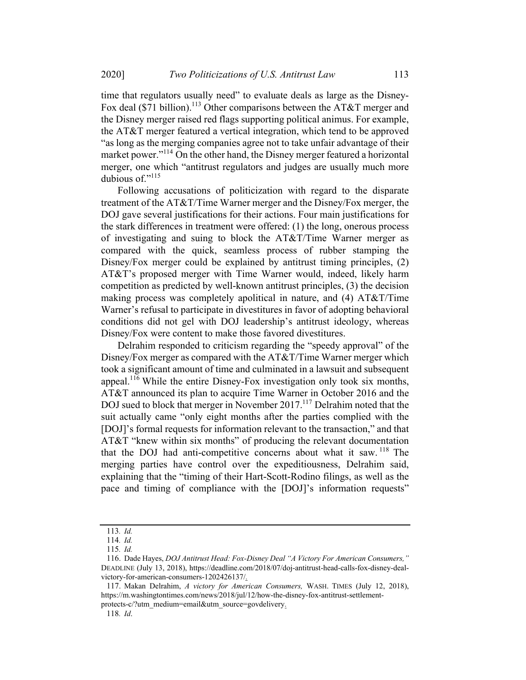time that regulators usually need" to evaluate deals as large as the Disney-Fox deal (\$71 billion).<sup>113</sup> Other comparisons between the AT&T merger and the Disney merger raised red flags supporting political animus. For example, the AT&T merger featured a vertical integration, which tend to be approved "as long as the merging companies agree not to take unfair advantage of their market power."<sup>114</sup> On the other hand, the Disney merger featured a horizontal merger, one which "antitrust regulators and judges are usually much more dubious of."<sup>115</sup>

Following accusations of politicization with regard to the disparate treatment of the AT&T/Time Warner merger and the Disney/Fox merger, the DOJ gave several justifications for their actions. Four main justifications for the stark differences in treatment were offered: (1) the long, onerous process of investigating and suing to block the AT&T/Time Warner merger as compared with the quick, seamless process of rubber stamping the Disney/Fox merger could be explained by antitrust timing principles, (2) AT&T's proposed merger with Time Warner would, indeed, likely harm competition as predicted by well-known antitrust principles, (3) the decision making process was completely apolitical in nature, and (4) AT&T/Time Warner's refusal to participate in divestitures in favor of adopting behavioral conditions did not gel with DOJ leadership's antitrust ideology, whereas Disney/Fox were content to make those favored divestitures.

Delrahim responded to criticism regarding the "speedy approval" of the Disney/Fox merger as compared with the AT&T/Time Warner merger which took a significant amount of time and culminated in a lawsuit and subsequent appeal.<sup>116</sup> While the entire Disney-Fox investigation only took six months, AT&T announced its plan to acquire Time Warner in October 2016 and the DOJ sued to block that merger in November 2017.<sup>117</sup> Delrahim noted that the suit actually came "only eight months after the parties complied with the [DOJ]'s formal requests for information relevant to the transaction," and that AT&T "knew within six months" of producing the relevant documentation that the DOJ had anti-competitive concerns about what it saw. <sup>118</sup> The merging parties have control over the expeditiousness, Delrahim said, explaining that the "timing of their Hart-Scott-Rodino filings, as well as the pace and timing of compliance with the [DOJ]'s information requests"

<sup>113</sup>. Id.

<sup>114</sup>. Id.

<sup>115</sup>. Id.

<sup>116.</sup> Dade Hayes, DOJ Antitrust Head: Fox-Disney Deal "A Victory For American Consumers," DEADLINE (July 13, 2018), https://deadline.com/2018/07/doj-antitrust-head-calls-fox-disney-dealvictory-for-american-consumers-1202426137/.

<sup>117.</sup> Makan Delrahim, A victory for American Consumers, WASH. TIMES (July 12, 2018), https://m.washingtontimes.com/news/2018/jul/12/how-the-disney-fox-antitrust-settlementprotects-c/?utm\_medium=email&utm\_source=govdelivery.

<sup>118</sup>. Id.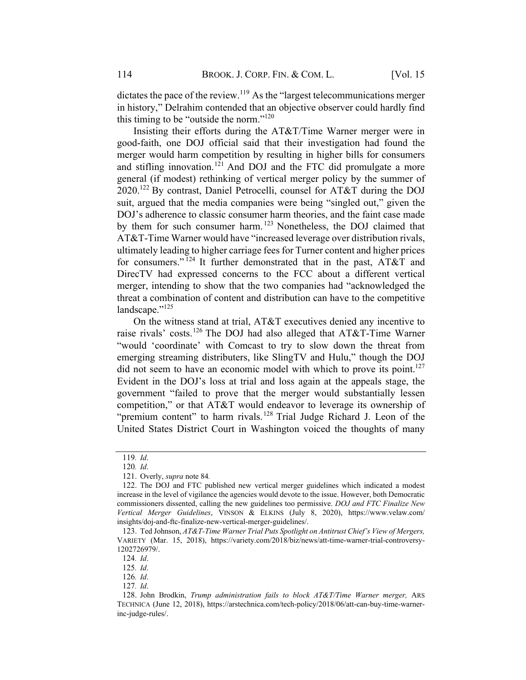dictates the pace of the review.<sup>119</sup> As the "largest telecommunications merger in history," Delrahim contended that an objective observer could hardly find this timing to be "outside the norm."120

Insisting their efforts during the AT&T/Time Warner merger were in good-faith, one DOJ official said that their investigation had found the merger would harm competition by resulting in higher bills for consumers and stifling innovation.<sup>121</sup> And DOJ and the FTC did promulgate a more general (if modest) rethinking of vertical merger policy by the summer of 2020.<sup>122</sup> By contrast, Daniel Petrocelli, counsel for AT&T during the DOJ suit, argued that the media companies were being "singled out," given the DOJ's adherence to classic consumer harm theories, and the faint case made by them for such consumer harm. <sup>123</sup> Nonetheless, the DOJ claimed that AT&T-Time Warner would have "increased leverage over distribution rivals, ultimately leading to higher carriage fees for Turner content and higher prices for consumers."  $124$  It further demonstrated that in the past, AT&T and DirecTV had expressed concerns to the FCC about a different vertical merger, intending to show that the two companies had "acknowledged the threat a combination of content and distribution can have to the competitive  $landscape.$ "<sup>125</sup>

On the witness stand at trial, AT&T executives denied any incentive to raise rivals' costs.<sup>126</sup> The DOJ had also alleged that AT&T-Time Warner "would 'coordinate' with Comcast to try to slow down the threat from emerging streaming distributers, like SlingTV and Hulu," though the DOJ did not seem to have an economic model with which to prove its point.<sup>127</sup> Evident in the DOJ's loss at trial and loss again at the appeals stage, the government "failed to prove that the merger would substantially lessen competition," or that AT&T would endeavor to leverage its ownership of "premium content" to harm rivals.<sup>128</sup> Trial Judge Richard J. Leon of the United States District Court in Washington voiced the thoughts of many

124. Id.

<sup>119</sup>. Id.

<sup>120</sup>. Id.

<sup>121.</sup> Overly, supra note 84.

<sup>122.</sup> The DOJ and FTC published new vertical merger guidelines which indicated a modest increase in the level of vigilance the agencies would devote to the issue. However, both Democratic commissioners dissented, calling the new guidelines too permissive. DOJ and FTC Finalize New Vertical Merger Guidelines, VINSON & ELKINS (July 8, 2020), https://www.velaw.com/ insights/doj-and-ftc-finalize-new-vertical-merger-guidelines/.

<sup>123.</sup> Ted Johnson, AT&T-Time Warner Trial Puts Spotlight on Antitrust Chief's View of Mergers, VARIETY (Mar. 15, 2018), https://variety.com/2018/biz/news/att-time-warner-trial-controversy-1202726979/.

<sup>125</sup>. Id.

<sup>127</sup>. Id.

<sup>128.</sup> John Brodkin, Trump administration fails to block AT&T/Time Warner merger, ARS TECHNICA (June 12, 2018), https://arstechnica.com/tech-policy/2018/06/att-can-buy-time-warnerinc-judge-rules/.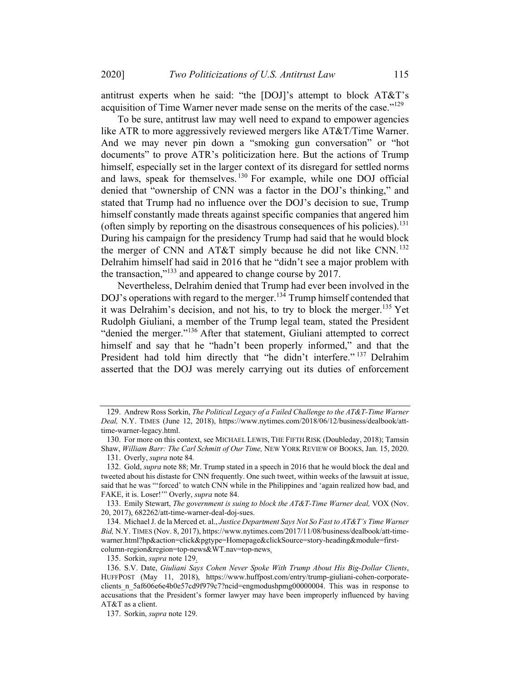antitrust experts when he said: "the [DOJ]'s attempt to block AT&T's acquisition of Time Warner never made sense on the merits of the case."<sup>129</sup>

To be sure, antitrust law may well need to expand to empower agencies like ATR to more aggressively reviewed mergers like AT&T/Time Warner. And we may never pin down a "smoking gun conversation" or "hot documents" to prove ATR's politicization here. But the actions of Trump himself, especially set in the larger context of its disregard for settled norms and laws, speak for themselves. <sup>130</sup> For example, while one DOJ official denied that "ownership of CNN was a factor in the DOJ's thinking," and stated that Trump had no influence over the DOJ's decision to sue, Trump himself constantly made threats against specific companies that angered him (often simply by reporting on the disastrous consequences of his policies).<sup>131</sup> During his campaign for the presidency Trump had said that he would block the merger of CNN and AT&T simply because he did not like CNN.<sup>132</sup> Delrahim himself had said in 2016 that he "didn't see a major problem with the transaction,"133 and appeared to change course by 2017.

Nevertheless, Delrahim denied that Trump had ever been involved in the DOJ's operations with regard to the merger.<sup>134</sup> Trump himself contended that it was Delrahim's decision, and not his, to try to block the merger.<sup>135</sup> Yet Rudolph Giuliani, a member of the Trump legal team, stated the President "denied the merger."<sup>136</sup> After that statement, Giuliani attempted to correct himself and say that he "hadn't been properly informed," and that the President had told him directly that "he didn't interfere."<sup>137</sup> Delrahim asserted that the DOJ was merely carrying out its duties of enforcement

133. Emily Stewart, The government is suing to block the AT&T-Time Warner deal, VOX (Nov. 20, 2017), 682262/att-time-warner-deal-doj-sues.

135. Sorkin, supra note 129.

<sup>129.</sup> Andrew Ross Sorkin, The Political Legacy of a Failed Challenge to the AT&T-Time Warner Deal, N.Y. TIMES (June 12, 2018), https://www.nytimes.com/2018/06/12/business/dealbook/atttime-warner-legacy.html.

<sup>130.</sup> For more on this context, see MICHAEL LEWIS, THE FIFTH RISK (Doubleday, 2018); Tamsin Shaw, William Barr: The Carl Schmitt of Our Time, NEW YORK REVIEW OF BOOKS, Jan. 15, 2020.

<sup>131.</sup> Overly, supra note 84.

<sup>132.</sup> Gold, *supra* note 88; Mr. Trump stated in a speech in 2016 that he would block the deal and tweeted about his distaste for CNN frequently. One such tweet, within weeks of the lawsuit at issue, said that he was "'forced' to watch CNN while in the Philippines and 'again realized how bad, and FAKE, it is. Loser!" Overly, *supra* note 84.

<sup>134.</sup> Michael J. de la Merced et. al., Justice Department Says Not So Fast to AT&T's Time Warner Bid, N.Y. TIMES (Nov. 8, 2017), https://www.nytimes.com/2017/11/08/business/dealbook/att-timewarner.html?hp&action=click&pgtype=Homepage&clickSource=story-heading&module=firstcolumn-region&region=top-news&WT.nav=top-news.

<sup>136.</sup> S.V. Date, Giuliani Says Cohen Never Spoke With Trump About His Big-Dollar Clients, HUFFPOST (May 11, 2018), https://www.huffpost.com/entry/trump-giuliani-cohen-corporateclients\_n\_5af606e6e4b0e57cd9f979c7?ncid=engmodushpmg00000004. This was in response to accusations that the President's former lawyer may have been improperly influenced by having AT&T as a client.

<sup>137.</sup> Sorkin, supra note 129.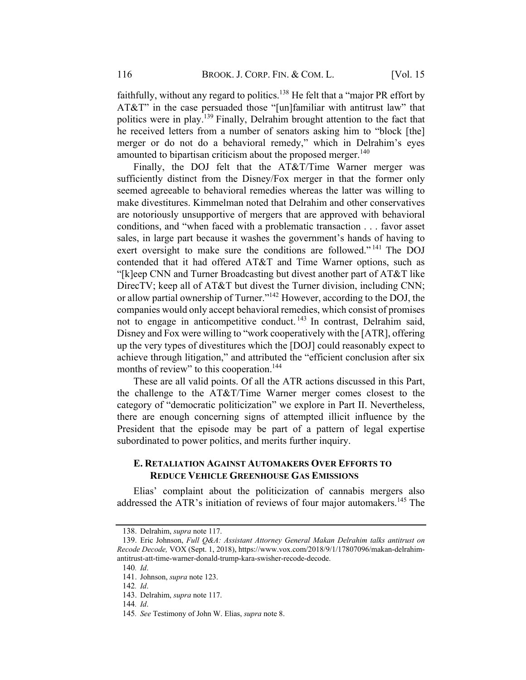faithfully, without any regard to politics.<sup>138</sup> He felt that a "major PR effort by AT&T" in the case persuaded those "[un]familiar with antitrust law" that politics were in play.<sup>139</sup> Finally, Delrahim brought attention to the fact that he received letters from a number of senators asking him to "block [the] merger or do not do a behavioral remedy," which in Delrahim's eyes amounted to bipartisan criticism about the proposed merger.<sup>140</sup>

Finally, the DOJ felt that the AT&T/Time Warner merger was sufficiently distinct from the Disney/Fox merger in that the former only seemed agreeable to behavioral remedies whereas the latter was willing to make divestitures. Kimmelman noted that Delrahim and other conservatives are notoriously unsupportive of mergers that are approved with behavioral conditions, and "when faced with a problematic transaction . . . favor asset sales, in large part because it washes the government's hands of having to exert oversight to make sure the conditions are followed."<sup>141</sup> The DOJ contended that it had offered AT&T and Time Warner options, such as "[k]eep CNN and Turner Broadcasting but divest another part of AT&T like DirecTV; keep all of AT&T but divest the Turner division, including CNN; or allow partial ownership of Turner."142 However, according to the DOJ, the companies would only accept behavioral remedies, which consist of promises not to engage in anticompetitive conduct. <sup>143</sup> In contrast, Delrahim said, Disney and Fox were willing to "work cooperatively with the [ATR], offering up the very types of divestitures which the [DOJ] could reasonably expect to achieve through litigation," and attributed the "efficient conclusion after six months of review" to this cooperation.<sup>144</sup>

These are all valid points. Of all the ATR actions discussed in this Part, the challenge to the AT&T/Time Warner merger comes closest to the category of "democratic politicization" we explore in Part II. Nevertheless, there are enough concerning signs of attempted illicit influence by the President that the episode may be part of a pattern of legal expertise subordinated to power politics, and merits further inquiry.

#### E. RETALIATION AGAINST AUTOMAKERS OVER EFFORTS TO **REDUCE VEHICLE GREENHOUSE GAS EMISSIONS**

Elias' complaint about the politicization of cannabis mergers also addressed the ATR's initiation of reviews of four major automakers.<sup>145</sup> The

<sup>138.</sup> Delrahim, supra note 117.

<sup>139.</sup> Eric Johnson, Full Q&A: Assistant Attorney General Makan Delrahim talks antitrust on Recode Decode, VOX (Sept. 1, 2018), https://www.vox.com/2018/9/1/17807096/makan-delrahimantitrust-att-time-warner-donald-trump-kara-swisher-recode-decode.

<sup>140</sup>. Id. 141. Johnson, supra note 123.

<sup>142</sup>. Id.

<sup>143.</sup> Delrahim, supra note 117. 144. Id.

<sup>145</sup>. See Testimony of John W. Elias, supra note 8.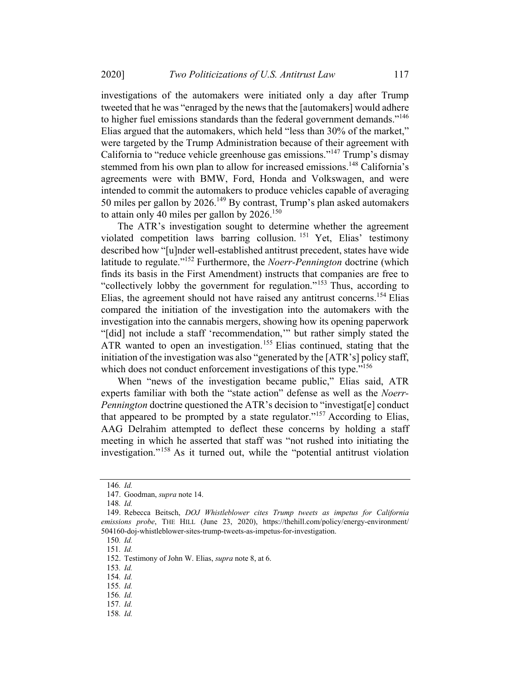investigations of the automakers were initiated only a day after Trump tweeted that he was "enraged by the news that the [automakers] would adhere to higher fuel emissions standards than the federal government demands."<sup>146</sup> Elias argued that the automakers, which held "less than 30% of the market," were targeted by the Trump Administration because of their agreement with California to "reduce vehicle greenhouse gas emissions."<sup>147</sup> Trump's dismay stemmed from his own plan to allow for increased emissions.<sup>148</sup> California's agreements were with BMW, Ford, Honda and Volkswagen, and were intended to commit the automakers to produce vehicles capable of averaging 50 miles per gallon by 2026.<sup>149</sup> By contrast, Trump's plan asked automakers to attain only 40 miles per gallon by 2026.<sup>150</sup>

The ATR's investigation sought to determine whether the agreement violated competition laws barring collusion. <sup>151</sup> Yet, Elias' testimony described how "[u]nder well-established antitrust precedent, states have wide latitude to regulate."<sup>152</sup> Furthermore, the *Noerr-Pennington* doctrine (which finds its basis in the First Amendment) instructs that companies are free to "collectively lobby the government for regulation."<sup>153</sup> Thus, according to Elias, the agreement should not have raised any antitrust concerns.<sup>154</sup> Elias compared the initiation of the investigation into the automakers with the investigation into the cannabis mergers, showing how its opening paperwork "[did] not include a staff 'recommendation,'" but rather simply stated the ATR wanted to open an investigation.<sup>155</sup> Elias continued, stating that the initiation of the investigation was also "generated by the [ATR's] policy staff, which does not conduct enforcement investigations of this type."<sup>156</sup>

When "news of the investigation became public," Elias said, ATR experts familiar with both the "state action" defense as well as the Noerr-Pennington doctrine questioned the ATR's decision to "investigat[e] conduct that appeared to be prompted by a state regulator."<sup>157</sup> According to Elias, AAG Delrahim attempted to deflect these concerns by holding a staff meeting in which he asserted that staff was "not rushed into initiating the investigation."<sup>158</sup> As it turned out, while the "potential antitrust violation

150. Id.

151. Id.

153. Id.

154. Id.

155. Id.

156. Id.

157. Id.

<sup>146</sup>. Id.

<sup>147.</sup> Goodman, supra note 14.

<sup>148</sup>. Id.

<sup>149.</sup> Rebecca Beitsch, DOJ Whistleblower cites Trump tweets as impetus for California emissions probe, THE HILL (June 23, 2020), https://thehill.com/policy/energy-environment/ 504160-doj-whistleblower-sites-trump-tweets-as-impetus-for-investigation.

<sup>152.</sup> Testimony of John W. Elias, supra note 8, at 6.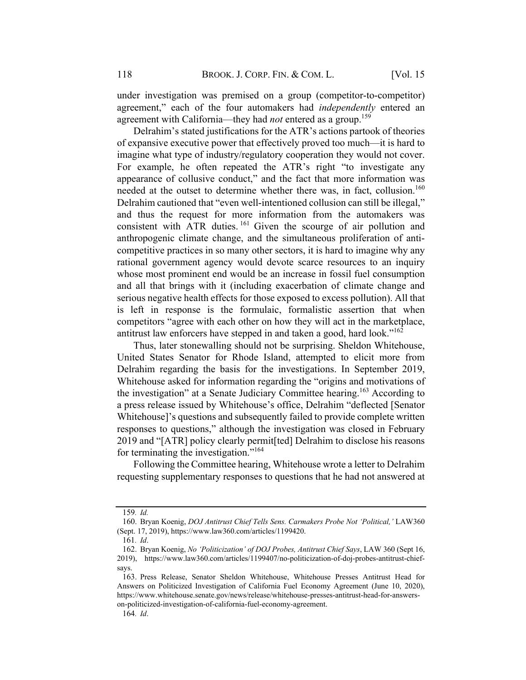under investigation was premised on a group (competitor-to-competitor) agreement," each of the four automakers had *independently* entered an agreement with California—they had *not* entered as a group.<sup>159</sup>

Delrahim's stated justifications for the ATR's actions partook of theories of expansive executive power that effectively proved too much—it is hard to imagine what type of industry/regulatory cooperation they would not cover. For example, he often repeated the ATR's right "to investigate any appearance of collusive conduct," and the fact that more information was needed at the outset to determine whether there was, in fact, collusion.<sup>160</sup> Delrahim cautioned that "even well-intentioned collusion can still be illegal," and thus the request for more information from the automakers was consistent with ATR duties.<sup>161</sup> Given the scourge of air pollution and anthropogenic climate change, and the simultaneous proliferation of anticompetitive practices in so many other sectors, it is hard to imagine why any rational government agency would devote scarce resources to an inquiry whose most prominent end would be an increase in fossil fuel consumption and all that brings with it (including exacerbation of climate change and serious negative health effects for those exposed to excess pollution). All that is left in response is the formulaic, formalistic assertion that when competitors "agree with each other on how they will act in the marketplace, antitrust law enforcers have stepped in and taken a good, hard look."<sup>162</sup>

Thus, later stonewalling should not be surprising. Sheldon Whitehouse, United States Senator for Rhode Island, attempted to elicit more from Delrahim regarding the basis for the investigations. In September 2019, Whitehouse asked for information regarding the "origins and motivations of the investigation" at a Senate Judiciary Committee hearing.<sup>163</sup> According to a press release issued by Whitehouse's office, Delrahim "deflected [Senator Whitehouse]'s questions and subsequently failed to provide complete written responses to questions," although the investigation was closed in February 2019 and "[ATR] policy clearly permit[ted] Delrahim to disclose his reasons for terminating the investigation."<sup>164</sup>

Following the Committee hearing, Whitehouse wrote a letter to Delrahim requesting supplementary responses to questions that he had not answered at

<sup>159</sup>. Id.

<sup>160.</sup> Bryan Koenig, DOJ Antitrust Chief Tells Sens. Carmakers Probe Not 'Political,' LAW360 (Sept. 17, 2019), https://www.law360.com/articles/1199420.

<sup>161</sup>. Id.

<sup>162.</sup> Bryan Koenig, No 'Politicization' of DOJ Probes, Antitrust Chief Says, LAW 360 (Sept 16, 2019), https://www.law360.com/articles/1199407/no-politicization-of-doj-probes-antitrust-chiefsays.

<sup>163.</sup> Press Release, Senator Sheldon Whitehouse, Whitehouse Presses Antitrust Head for Answers on Politicized Investigation of California Fuel Economy Agreement (June 10, 2020), https://www.whitehouse.senate.gov/news/release/whitehouse-presses-antitrust-head-for-answerson-politicized-investigation-of-california-fuel-economy-agreement.

<sup>164</sup>. Id.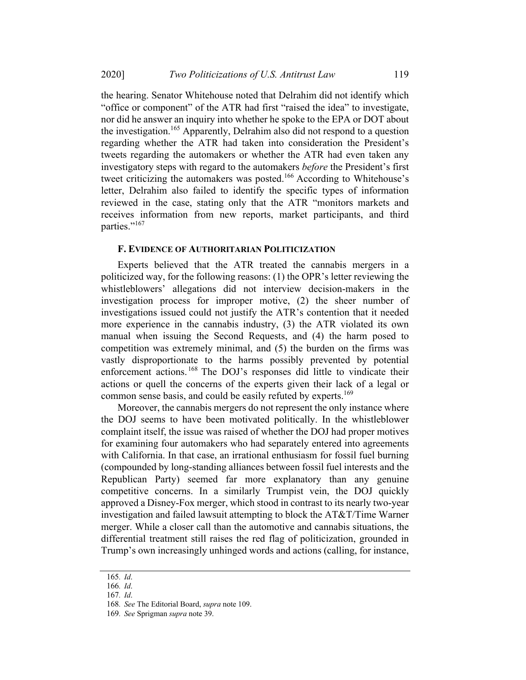the hearing. Senator Whitehouse noted that Delrahim did not identify which "office or component" of the ATR had first "raised the idea" to investigate, nor did he answer an inquiry into whether he spoke to the EPA or DOT about the investigation.<sup>165</sup> Apparently, Delrahim also did not respond to a question regarding whether the ATR had taken into consideration the President's tweets regarding the automakers or whether the ATR had even taken any investigatory steps with regard to the automakers before the President's first tweet criticizing the automakers was posted.<sup>166</sup> According to Whitehouse's letter, Delrahim also failed to identify the specific types of information reviewed in the case, stating only that the ATR "monitors markets and receives information from new reports, market participants, and third parties."<sup>167</sup>

#### F. EVIDENCE OF AUTHORITARIAN POLITICIZATION

Experts believed that the ATR treated the cannabis mergers in a politicized way, for the following reasons: (1) the OPR's letter reviewing the whistleblowers' allegations did not interview decision-makers in the investigation process for improper motive, (2) the sheer number of investigations issued could not justify the ATR's contention that it needed more experience in the cannabis industry, (3) the ATR violated its own manual when issuing the Second Requests, and (4) the harm posed to competition was extremely minimal, and (5) the burden on the firms was vastly disproportionate to the harms possibly prevented by potential enforcement actions.<sup>168</sup> The DOJ's responses did little to vindicate their actions or quell the concerns of the experts given their lack of a legal or common sense basis, and could be easily refuted by experts.<sup>169</sup>

Moreover, the cannabis mergers do not represent the only instance where the DOJ seems to have been motivated politically. In the whistleblower complaint itself, the issue was raised of whether the DOJ had proper motives for examining four automakers who had separately entered into agreements with California. In that case, an irrational enthusiasm for fossil fuel burning (compounded by long-standing alliances between fossil fuel interests and the Republican Party) seemed far more explanatory than any genuine competitive concerns. In a similarly Trumpist vein, the DOJ quickly approved a Disney-Fox merger, which stood in contrast to its nearly two-year investigation and failed lawsuit attempting to block the AT&T/Time Warner merger. While a closer call than the automotive and cannabis situations, the differential treatment still raises the red flag of politicization, grounded in Trump's own increasingly unhinged words and actions (calling, for instance,

<sup>165</sup>. Id.

<sup>166</sup>. Id.

<sup>167</sup>. Id.

<sup>168</sup>. See The Editorial Board, supra note 109.

<sup>169</sup>. See Sprigman supra note 39.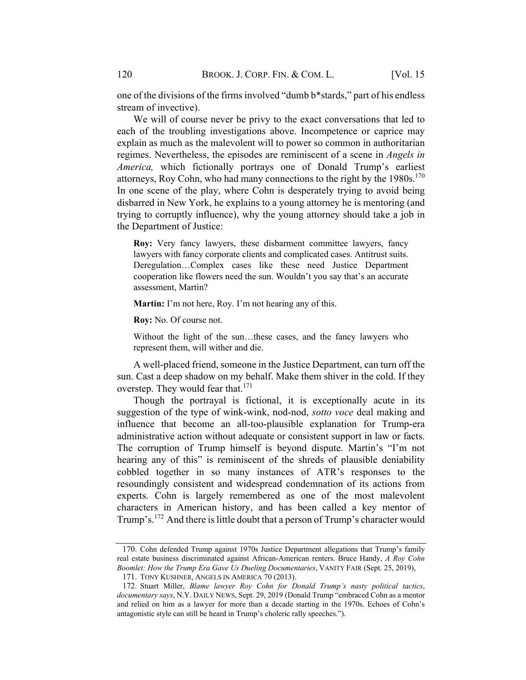one of the divisions of the firms involved "dumb b\*stards," part of his endless stream of invective).

We will of course never be privy to the exact conversations that led to each of the troubling investigations above. Incompetence or caprice may explain as much as the malevolent will to power so common in authoritarian regimes. Nevertheless, the episodes are reminiscent of a scene in Angels in America, which fictionally portrays one of Donald Trump's earliest attorneys, Roy Cohn, who had many connections to the right by the  $1980s$ .<sup>170</sup> In one scene of the play, where Cohn is desperately trying to avoid being disbarred in New York, he explains to a young attorney he is mentoring (and trying to corruptly influence), why the young attorney should take a job in the Department of Justice:

Roy: Very fancy lawyers, these disbarment committee lawyers, fancy lawyers with fancy corporate clients and complicated cases. Antitrust suits. Deregulation…Complex cases like these need Justice Department cooperation like flowers need the sun. Wouldn't you say that's an accurate assessment, Martin?

Martin: I'm not here, Roy. I'm not hearing any of this.

Roy: No. Of course not.

Without the light of the sun…these cases, and the fancy lawyers who represent them, will wither and die.

A well-placed friend, someone in the Justice Department, can turn off the sun. Cast a deep shadow on my behalf. Make them shiver in the cold. If they overstep. They would fear that. $171$ 

Though the portrayal is fictional, it is exceptionally acute in its suggestion of the type of wink-wink, nod-nod, sotto voce deal making and influence that become an all-too-plausible explanation for Trump-era administrative action without adequate or consistent support in law or facts. The corruption of Trump himself is beyond dispute. Martin's "I'm not hearing any of this" is reminiscent of the shreds of plausible deniability cobbled together in so many instances of ATR's responses to the resoundingly consistent and widespread condemnation of its actions from experts. Cohn is largely remembered as one of the most malevolent characters in American history, and has been called a key mentor of Trump's.<sup>172</sup> And there is little doubt that a person of Trump's character would

<sup>170.</sup> Cohn defended Trump against 1970s Justice Department allegations that Trump's family real estate business discriminated against African-American renters. Bruce Handy, A Roy Cohn Boomlet: How the Trump Era Gave Us Dueling Documentaries, VANITY FAIR (Sept. 25, 2019), 171. TONY KUSHNER, ANGELS IN AMERICA 70 (2013).

<sup>172.</sup> Stuart Miller, Blame lawyer Roy Cohn for Donald Trump's nasty political tactics, documentary says, N.Y. DAILY NEWS, Sept. 29, 2019 (Donald Trump "embraced Cohn as a mentor and relied on him as a lawyer for more than a decade starting in the 1970s. Echoes of Cohn's antagonistic style can still be heard in Trump's choleric rally speeches.").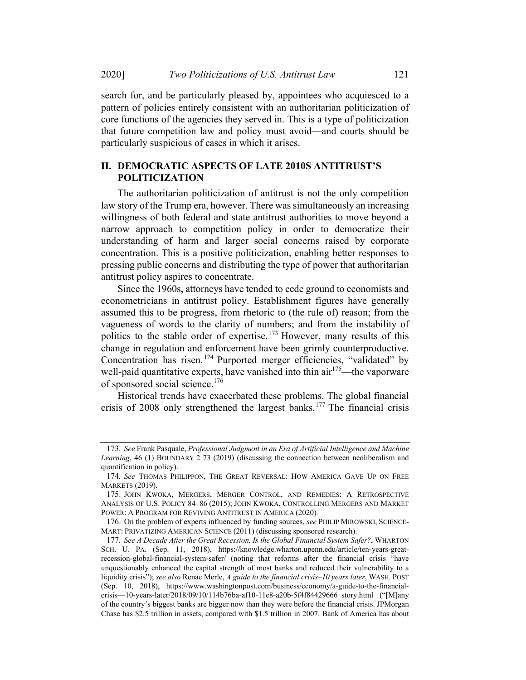search for, and be particularly pleased by, appointees who acquiesced to a pattern of policies entirely consistent with an authoritarian politicization of core functions of the agencies they served in. This is a type of politicization that future competition law and policy must avoid—and courts should be particularly suspicious of cases in which it arises.

#### II. DEMOCRATIC ASPECTS OF LATE 2010S ANTITRUST'S POLITICIZATION

The authoritarian politicization of antitrust is not the only competition law story of the Trump era, however. There was simultaneously an increasing willingness of both federal and state antitrust authorities to move beyond a narrow approach to competition policy in order to democratize their understanding of harm and larger social concerns raised by corporate concentration. This is a positive politicization, enabling better responses to pressing public concerns and distributing the type of power that authoritarian antitrust policy aspires to concentrate.

Since the 1960s, attorneys have tended to cede ground to economists and econometricians in antitrust policy. Establishment figures have generally assumed this to be progress, from rhetoric to (the rule of) reason; from the vagueness of words to the clarity of numbers; and from the instability of politics to the stable order of expertise.<sup>173</sup> However, many results of this change in regulation and enforcement have been grimly counterproductive. Concentration has risen.<sup>174</sup> Purported merger efficiencies, "validated" by well-paid quantitative experts, have vanished into thin air<sup>175</sup>—the vaporware of sponsored social science.<sup>176</sup>

Historical trends have exacerbated these problems. The global financial crisis of 2008 only strengthened the largest banks.<sup>177</sup> The financial crisis

<sup>173</sup>. See Frank Pasquale, Professional Judgment in an Era of Artificial Intelligence and Machine Learning, 46 (1) BOUNDARY 2 73 (2019) (discussing the connection between neoliberalism and quantification in policy).

<sup>174</sup>. See THOMAS PHILIPPON, THE GREAT REVERSAL: HOW AMERICA GAVE UP ON FREE MARKETS (2019).

<sup>175.</sup> JOHN KWOKA, MERGERS, MERGER CONTROL, AND REMEDIES: A RETROSPECTIVE ANALYSIS OF U.S. POLICY 84–86 (2015); JOHN KWOKA, CONTROLLING MERGERS AND MARKET POWER: A PROGRAM FOR REVIVING ANTITRUST IN AMERICA (2020).

<sup>176.</sup> On the problem of experts influenced by funding sources, see PHILIP MIROWSKI, SCIENCE-MART: PRIVATIZING AMERICAN SCIENCE (2011) (discussing sponsored research).

<sup>177</sup>. See A Decade After the Great Recession, Is the Global Financial System Safer?, WHARTON SCH. U. PA. (Sep. 11, 2018), https://knowledge.wharton.upenn.edu/article/ten-years-greatrecession-global-financial-system-safer/ (noting that reforms after the financial crisis "have unquestionably enhanced the capital strength of most banks and reduced their vulnerability to a liquidity crisis"); see also Renae Merle, A guide to the financial crisis-10 years later, WASH. POST (Sep. 10, 2018), https://www.washingtonpost.com/business/economy/a-guide-to-the-financialcrisis—10-years-later/2018/09/10/114b76ba-af10-11e8-a20b-5f4f84429666\_story.html ("[M]any of the country's biggest banks are bigger now than they were before the financial crisis. JPMorgan Chase has \$2.5 trillion in assets, compared with \$1.5 trillion in 2007. Bank of America has about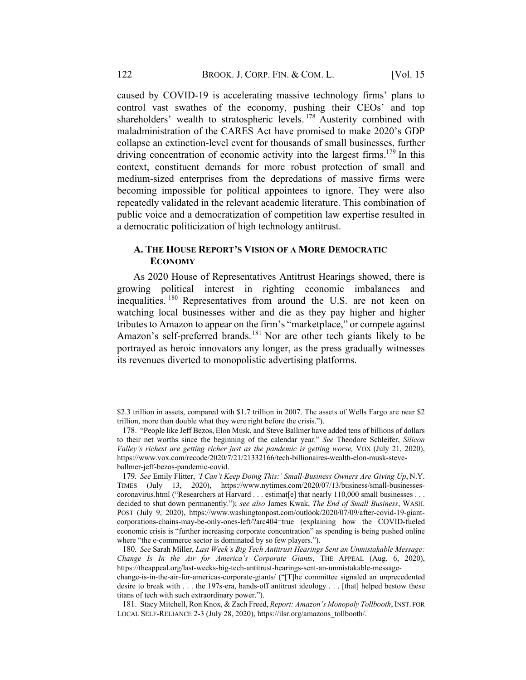caused by COVID-19 is accelerating massive technology firms' plans to control vast swathes of the economy, pushing their CEOs' and top shareholders' wealth to stratospheric levels.<sup>178</sup> Austerity combined with maladministration of the CARES Act have promised to make 2020's GDP collapse an extinction-level event for thousands of small businesses, further driving concentration of economic activity into the largest firms.<sup>179</sup> In this context, constituent demands for more robust protection of small and medium-sized enterprises from the depredations of massive firms were becoming impossible for political appointees to ignore. They were also repeatedly validated in the relevant academic literature. This combination of public voice and a democratization of competition law expertise resulted in a democratic politicization of high technology antitrust.

### A. THE HOUSE REPORT'S VISION OF A MORE DEMOCRATIC **ECONOMY**

As 2020 House of Representatives Antitrust Hearings showed, there is growing political interest in righting economic imbalances and inequalities. <sup>180</sup> Representatives from around the U.S. are not keen on watching local businesses wither and die as they pay higher and higher tributes to Amazon to appear on the firm's "marketplace," or compete against Amazon's self-preferred brands.<sup>181</sup> Nor are other tech giants likely to be portrayed as heroic innovators any longer, as the press gradually witnesses its revenues diverted to monopolistic advertising platforms.

<sup>\$2.3</sup> trillion in assets, compared with \$1.7 trillion in 2007. The assets of Wells Fargo are near \$2 trillion, more than double what they were right before the crisis.").

<sup>178.</sup> "People like Jeff Bezos, Elon Musk, and Steve Ballmer have added tens of billions of dollars to their net worths since the beginning of the calendar year." See Theodore Schleifer, Silicon Valley's richest are getting richer just as the pandemic is getting worse, VOX (July 21, 2020), https://www.vox.com/recode/2020/7/21/21332166/tech-billionaires-wealth-elon-musk-steveballmer-jeff-bezos-pandemic-covid.

<sup>179</sup>. See Emily Flitter, 'I Can't Keep Doing This:' Small-Business Owners Are Giving Up, N.Y. TIMES (July 13, 2020), https://www.nytimes.com/2020/07/13/business/small-businessescoronavirus.html ("Researchers at Harvard . . . estimat[e] that nearly 110,000 small businesses . . . decided to shut down permanently."); see also James Kwak, The End of Small Business, WASH. POST (July 9, 2020), https://www.washingtonpost.com/outlook/2020/07/09/after-covid-19-giantcorporations-chains-may-be-only-ones-left/?arc404=true (explaining how the COVID-fueled economic crisis is "further increasing corporate concentration" as spending is being pushed online where "the e-commerce sector is dominated by so few players.").

<sup>180</sup>. See Sarah Miller, Last Week's Big Tech Antitrust Hearings Sent an Unmistakable Message: Change Is In the Air for America's Corporate Giants, THE APPEAL (Aug. 6, 2020), https://theappeal.org/last-weeks-big-tech-antitrust-hearings-sent-an-unmistakable-message-

change-is-in-the-air-for-americas-corporate-giants/ ("[T]he committee signaled an unprecedented desire to break with . . . the 197s-era, hands-off antitrust ideology . . . [that] helped bestow these titans of tech with such extraordinary power.").

<sup>181.</sup> Stacy Mitchell, Ron Knox, & Zach Freed, Report: Amazon's Monopoly Tollbooth, INST. FOR LOCAL SELF-RELIANCE 2-3 (July 28, 2020), https://ilsr.org/amazons\_tollbooth/.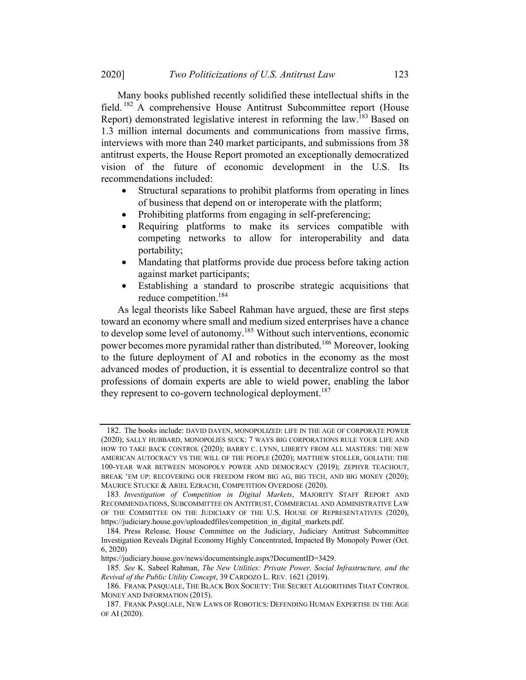Many books published recently solidified these intellectual shifts in the field. <sup>182</sup> A comprehensive House Antitrust Subcommittee report (House Report) demonstrated legislative interest in reforming the law.<sup>183</sup> Based on 1.3 million internal documents and communications from massive firms, interviews with more than 240 market participants, and submissions from 38 antitrust experts, the House Report promoted an exceptionally democratized vision of the future of economic development in the U.S. Its recommendations included:

- Structural separations to prohibit platforms from operating in lines of business that depend on or interoperate with the platform;
- Prohibiting platforms from engaging in self-preferencing;
- Requiring platforms to make its services compatible with competing networks to allow for interoperability and data portability;
- Mandating that platforms provide due process before taking action against market participants;
- Establishing a standard to proscribe strategic acquisitions that reduce competition.184

As legal theorists like Sabeel Rahman have argued, these are first steps toward an economy where small and medium sized enterprises have a chance to develop some level of autonomy.<sup>185</sup> Without such interventions, economic power becomes more pyramidal rather than distributed.186 Moreover, looking to the future deployment of AI and robotics in the economy as the most advanced modes of production, it is essential to decentralize control so that professions of domain experts are able to wield power, enabling the labor they represent to co-govern technological deployment.<sup>187</sup>

<sup>182.</sup> The books include: DAVID DAYEN, MONOPOLIZED: LIFE IN THE AGE OF CORPORATE POWER (2020); SALLY HUBBARD, MONOPOLIES SUCK: 7 WAYS BIG CORPORATIONS RULE YOUR LIFE AND HOW TO TAKE BACK CONTROL (2020); BARRY C. LYNN, LIBERTY FROM ALL MASTERS: THE NEW AMERICAN AUTOCRACY VS THE WILL OF THE PEOPLE (2020); MATTHEW STOLLER, GOLIATH: THE 100-YEAR WAR BETWEEN MONOPOLY POWER AND DEMOCRACY (2019); ZEPHYR TEACHOUT, BREAK 'EM UP: RECOVERING OUR FREEDOM FROM BIG AG, BIG TECH, AND BIG MONEY (2020); MAURICE STUCKE & ARIEL EZRACHI, COMPETITION OVERDOSE (2020).

<sup>183</sup>. Investigation of Competition in Digital Markets, MAJORITY STAFF REPORT AND RECOMMENDATIONS, SUBCOMMITTEE ON ANTITRUST, COMMERCIAL AND ADMINISTRATIVE LAW OF THE COMMITTEE ON THE JUDICIARY OF THE U.S. HOUSE OF REPRESENTATIVES (2020), https://judiciary.house.gov/uploadedfiles/competition\_in\_digital\_markets.pdf.

<sup>184.</sup> Press Release, House Committee on the Judiciary, Judiciary Antitrust Subcommittee Investigation Reveals Digital Economy Highly Concentrated, Impacted By Monopoly Power (Oct. 6, 2020)

https://judiciary.house.gov/news/documentsingle.aspx?DocumentID=3429.

<sup>185</sup>. See K. Sabeel Rahman, The New Utilities: Private Power, Social Infrastructure, and the Revival of the Public Utility Concept, 39 CARDOZO L. REV. 1621 (2019).

<sup>186.</sup> FRANK PASQUALE, THE BLACK BOX SOCIETY: THE SECRET ALGORITHMS THAT CONTROL MONEY AND INFORMATION (2015).

<sup>187.</sup> FRANK PASQUALE, NEW LAWS OF ROBOTICS: DEFENDING HUMAN EXPERTISE IN THE AGE OF AI (2020).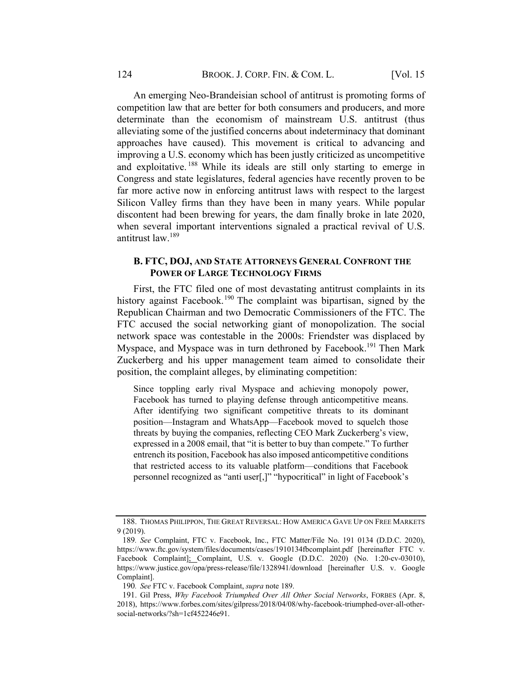An emerging Neo-Brandeisian school of antitrust is promoting forms of competition law that are better for both consumers and producers, and more determinate than the economism of mainstream U.S. antitrust (thus alleviating some of the justified concerns about indeterminacy that dominant approaches have caused). This movement is critical to advancing and improving a U.S. economy which has been justly criticized as uncompetitive and exploitative. <sup>188</sup> While its ideals are still only starting to emerge in Congress and state legislatures, federal agencies have recently proven to be far more active now in enforcing antitrust laws with respect to the largest Silicon Valley firms than they have been in many years. While popular discontent had been brewing for years, the dam finally broke in late 2020, when several important interventions signaled a practical revival of U.S. antitrust law.<sup>189</sup>

#### B. FTC, DOJ, AND STATE ATTORNEYS GENERAL CONFRONT THE POWER OF LARGE TECHNOLOGY FIRMS

First, the FTC filed one of most devastating antitrust complaints in its history against Facebook.<sup>190</sup> The complaint was bipartisan, signed by the Republican Chairman and two Democratic Commissioners of the FTC. The FTC accused the social networking giant of monopolization. The social network space was contestable in the 2000s: Friendster was displaced by Myspace, and Myspace was in turn dethroned by Facebook.<sup>191</sup> Then Mark Zuckerberg and his upper management team aimed to consolidate their position, the complaint alleges, by eliminating competition:

Since toppling early rival Myspace and achieving monopoly power, Facebook has turned to playing defense through anticompetitive means. After identifying two significant competitive threats to its dominant position—Instagram and WhatsApp—Facebook moved to squelch those threats by buying the companies, reflecting CEO Mark Zuckerberg's view, expressed in a 2008 email, that "it is better to buy than compete." To further entrench its position, Facebook has also imposed anticompetitive conditions that restricted access to its valuable platform—conditions that Facebook personnel recognized as "anti user[,]" "hypocritical" in light of Facebook's

<sup>188.</sup> THOMAS PHILIPPON, THE GREAT REVERSAL: HOW AMERICA GAVE UP ON FREE MARKETS 9 (2019).

<sup>189</sup>. See Complaint, FTC v. Facebook, Inc., FTC Matter/File No. 191 0134 (D.D.C. 2020), https://www.ftc.gov/system/files/documents/cases/1910134fbcomplaint.pdf [hereinafter FTC v. Facebook Complaint]; Complaint, U.S. v. Google (D.D.C. 2020) (No. 1:20-cv-03010), https://www.justice.gov/opa/press-release/file/1328941/download [hereinafter U.S. v. Google Complaint].

<sup>190</sup>. See FTC v. Facebook Complaint, supra note 189.

<sup>191.</sup> Gil Press, Why Facebook Triumphed Over All Other Social Networks, FORBES (Apr. 8, 2018), https://www.forbes.com/sites/gilpress/2018/04/08/why-facebook-triumphed-over-all-othersocial-networks/?sh=1cf452246e91.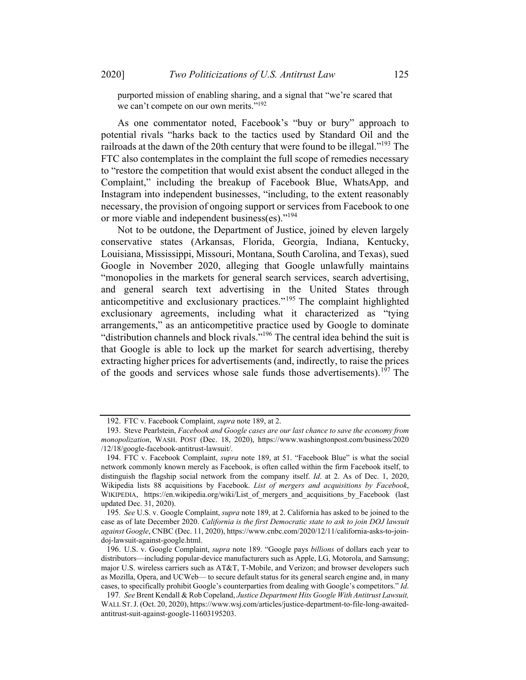purported mission of enabling sharing, and a signal that "we're scared that we can't compete on our own merits."<sup>192</sup>

As one commentator noted, Facebook's "buy or bury" approach to potential rivals "harks back to the tactics used by Standard Oil and the railroads at the dawn of the 20th century that were found to be illegal."<sup>193</sup> The FTC also contemplates in the complaint the full scope of remedies necessary to "restore the competition that would exist absent the conduct alleged in the Complaint," including the breakup of Facebook Blue, WhatsApp, and Instagram into independent businesses, "including, to the extent reasonably necessary, the provision of ongoing support or services from Facebook to one or more viable and independent business(es)."<sup>194</sup>

Not to be outdone, the Department of Justice, joined by eleven largely conservative states (Arkansas, Florida, Georgia, Indiana, Kentucky, Louisiana, Mississippi, Missouri, Montana, South Carolina, and Texas), sued Google in November 2020, alleging that Google unlawfully maintains "monopolies in the markets for general search services, search advertising, and general search text advertising in the United States through anticompetitive and exclusionary practices."<sup>195</sup> The complaint highlighted exclusionary agreements, including what it characterized as "tying arrangements," as an anticompetitive practice used by Google to dominate "distribution channels and block rivals."196 The central idea behind the suit is that Google is able to lock up the market for search advertising, thereby extracting higher prices for advertisements (and, indirectly, to raise the prices of the goods and services whose sale funds those advertisements).<sup>197</sup> The

<sup>192.</sup> FTC v. Facebook Complaint, supra note 189, at 2.

<sup>193.</sup> Steve Pearlstein, Facebook and Google cases are our last chance to save the economy from monopolization, WASH. POST (Dec. 18, 2020), https://www.washingtonpost.com/business/2020 /12/18/google-facebook-antitrust-lawsuit/.

<sup>194.</sup> FTC v. Facebook Complaint, *supra* note 189, at 51. "Facebook Blue" is what the social network commonly known merely as Facebook, is often called within the firm Facebook itself, to distinguish the flagship social network from the company itself. Id. at 2. As of Dec. 1, 2020, Wikipedia lists 88 acquisitions by Facebook. List of mergers and acquisitions by Facebook, WIKIPEDIA, https://en.wikipedia.org/wiki/List of mergers and acquisitions by Facebook (last updated Dec. 31, 2020).

<sup>195.</sup> See U.S. v. Google Complaint, *supra* note 189, at 2. California has asked to be joined to the case as of late December 2020. California is the first Democratic state to ask to join DOJ lawsuit against Google, CNBC (Dec. 11, 2020), https://www.cnbc.com/2020/12/11/california-asks-to-joindoj-lawsuit-against-google.html.

<sup>196.</sup> U.S. v. Google Complaint, *supra* note 189. "Google pays billions of dollars each year to distributors—including popular-device manufacturers such as Apple, LG, Motorola, and Samsung; major U.S. wireless carriers such as AT&T, T-Mobile, and Verizon; and browser developers such as Mozilla, Opera, and UCWeb— to secure default status for its general search engine and, in many cases, to specifically prohibit Google's counterparties from dealing with Google's competitors." Id.

<sup>197.</sup> See Brent Kendall & Rob Copeland, Justice Department Hits Google With Antitrust Lawsuit, WALL ST.J. (Oct. 20, 2020), https://www.wsj.com/articles/justice-department-to-file-long-awaitedantitrust-suit-against-google-11603195203.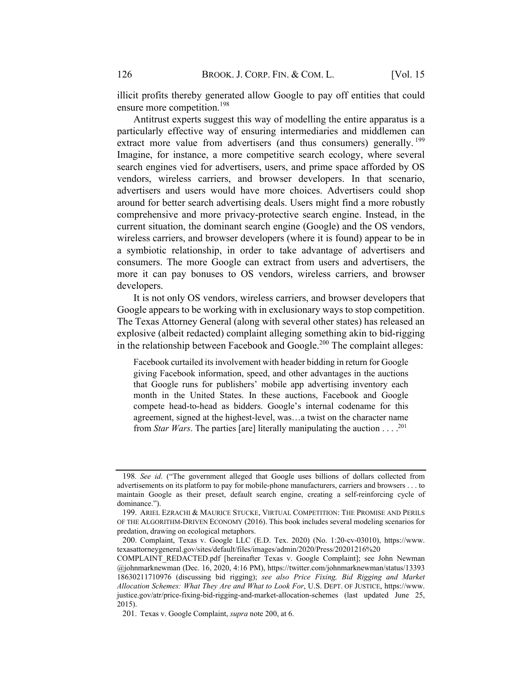illicit profits thereby generated allow Google to pay off entities that could ensure more competition.<sup>198</sup>

Antitrust experts suggest this way of modelling the entire apparatus is a particularly effective way of ensuring intermediaries and middlemen can extract more value from advertisers (and thus consumers) generally.  $199$ Imagine, for instance, a more competitive search ecology, where several search engines vied for advertisers, users, and prime space afforded by OS vendors, wireless carriers, and browser developers. In that scenario, advertisers and users would have more choices. Advertisers could shop around for better search advertising deals. Users might find a more robustly comprehensive and more privacy-protective search engine. Instead, in the current situation, the dominant search engine (Google) and the OS vendors, wireless carriers, and browser developers (where it is found) appear to be in a symbiotic relationship, in order to take advantage of advertisers and consumers. The more Google can extract from users and advertisers, the more it can pay bonuses to OS vendors, wireless carriers, and browser developers.

It is not only OS vendors, wireless carriers, and browser developers that Google appears to be working with in exclusionary ways to stop competition. The Texas Attorney General (along with several other states) has released an explosive (albeit redacted) complaint alleging something akin to bid-rigging in the relationship between Facebook and Google.<sup>200</sup> The complaint alleges:

Facebook curtailed its involvement with header bidding in return for Google giving Facebook information, speed, and other advantages in the auctions that Google runs for publishers' mobile app advertising inventory each month in the United States. In these auctions, Facebook and Google compete head-to-head as bidders. Google's internal codename for this agreement, signed at the highest-level, was…a twist on the character name from Star Wars. The parties [are] literally manipulating the auction . . . . <sup>201</sup>

<sup>198.</sup> See id. ("The government alleged that Google uses billions of dollars collected from advertisements on its platform to pay for mobile-phone manufacturers, carriers and browsers . . . to maintain Google as their preset, default search engine, creating a self-reinforcing cycle of dominance.").

<sup>199.</sup> ARIEL EZRACHI & MAURICE STUCKE, VIRTUAL COMPETITION: THE PROMISE AND PERILS OF THE ALGORITHM-DRIVEN ECONOMY (2016). This book includes several modeling scenarios for predation, drawing on ecological metaphors.

<sup>200.</sup> Complaint, Texas v. Google LLC (E.D. Tex. 2020) (No. 1:20-cv-03010), https://www. texasattorneygeneral.gov/sites/default/files/images/admin/2020/Press/20201216%20

COMPLAINT\_REDACTED.pdf [hereinafter Texas v. Google Complaint]; see John Newman @johnmarknewman (Dec. 16, 2020, 4:16 PM), https://twitter.com/johnmarknewman/status/13393 18630211710976 (discussing bid rigging); see also Price Fixing, Bid Rigging and Market Allocation Schemes: What They Are and What to Look For, U.S. DEPT. OF JUSTICE, https://www. justice.gov/atr/price-fixing-bid-rigging-and-market-allocation-schemes (last updated June 25, 2015).

<sup>201.</sup> Texas v. Google Complaint, supra note 200, at 6.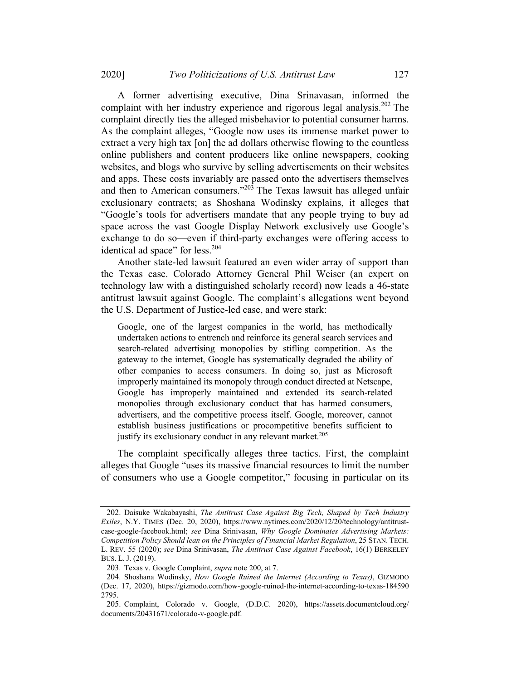A former advertising executive, Dina Srinavasan, informed the complaint with her industry experience and rigorous legal analysis.<sup>202</sup> The complaint directly ties the alleged misbehavior to potential consumer harms. As the complaint alleges, "Google now uses its immense market power to extract a very high tax [on] the ad dollars otherwise flowing to the countless online publishers and content producers like online newspapers, cooking websites, and blogs who survive by selling advertisements on their websites and apps. These costs invariably are passed onto the advertisers themselves and then to American consumers."<sup>203</sup> The Texas lawsuit has alleged unfair exclusionary contracts; as Shoshana Wodinsky explains, it alleges that "Google's tools for advertisers mandate that any people trying to buy ad space across the vast Google Display Network exclusively use Google's exchange to do so—even if third-party exchanges were offering access to identical ad space" for less.<sup>204</sup>

Another state-led lawsuit featured an even wider array of support than the Texas case. Colorado Attorney General Phil Weiser (an expert on technology law with a distinguished scholarly record) now leads a 46-state antitrust lawsuit against Google. The complaint's allegations went beyond the U.S. Department of Justice-led case, and were stark:

Google, one of the largest companies in the world, has methodically undertaken actions to entrench and reinforce its general search services and search-related advertising monopolies by stifling competition. As the gateway to the internet, Google has systematically degraded the ability of other companies to access consumers. In doing so, just as Microsoft improperly maintained its monopoly through conduct directed at Netscape, Google has improperly maintained and extended its search-related monopolies through exclusionary conduct that has harmed consumers, advertisers, and the competitive process itself. Google, moreover, cannot establish business justifications or procompetitive benefits sufficient to justify its exclusionary conduct in any relevant market.<sup>205</sup>

The complaint specifically alleges three tactics. First, the complaint alleges that Google "uses its massive financial resources to limit the number of consumers who use a Google competitor," focusing in particular on its

<sup>202.</sup> Daisuke Wakabayashi, The Antitrust Case Against Big Tech, Shaped by Tech Industry Exiles, N.Y. TIMES (Dec. 20, 2020), https://www.nytimes.com/2020/12/20/technology/antitrustcase-google-facebook.html; see Dina Srinivasan, Why Google Dominates Advertising Markets: Competition Policy Should lean on the Principles of Financial Market Regulation, 25 STAN. TECH. L. REV. 55 (2020); see Dina Srinivasan, The Antitrust Case Against Facebook, 16(1) BERKELEY BUS. L. J. (2019).

<sup>203.</sup> Texas v. Google Complaint, supra note 200, at 7.

<sup>204.</sup> Shoshana Wodinsky, How Google Ruined the Internet (According to Texas), GIZMODO (Dec. 17, 2020), https://gizmodo.com/how-google-ruined-the-internet-according-to-texas-184590 2795.

<sup>205.</sup> Complaint, Colorado v. Google, (D.D.C. 2020), https://assets.documentcloud.org/ documents/20431671/colorado-v-google.pdf.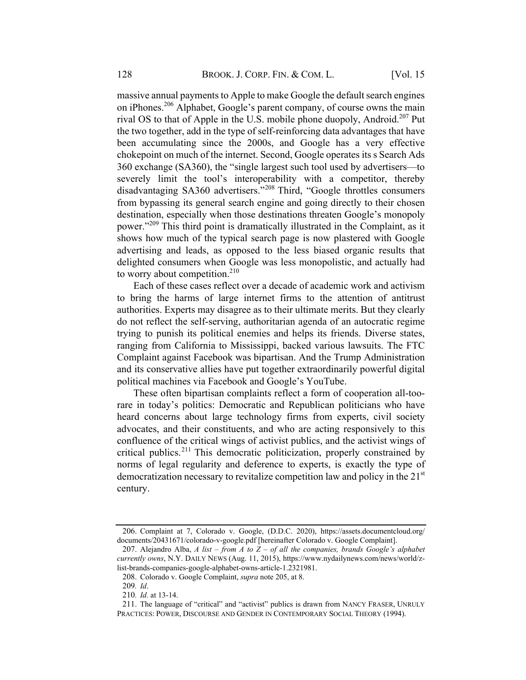massive annual payments to Apple to make Google the default search engines on iPhones.<sup>206</sup> Alphabet, Google's parent company, of course owns the main rival OS to that of Apple in the U.S. mobile phone duopoly, Android.<sup>207</sup> Put the two together, add in the type of self-reinforcing data advantages that have been accumulating since the 2000s, and Google has a very effective chokepoint on much of the internet. Second, Google operates its s Search Ads 360 exchange (SA360), the "single largest such tool used by advertisers—to severely limit the tool's interoperability with a competitor, thereby disadvantaging SA360 advertisers."<sup>208</sup> Third, "Google throttles consumers from bypassing its general search engine and going directly to their chosen destination, especially when those destinations threaten Google's monopoly power."<sup>209</sup> This third point is dramatically illustrated in the Complaint, as it shows how much of the typical search page is now plastered with Google advertising and leads, as opposed to the less biased organic results that delighted consumers when Google was less monopolistic, and actually had to worry about competition. $210$ 

Each of these cases reflect over a decade of academic work and activism to bring the harms of large internet firms to the attention of antitrust authorities. Experts may disagree as to their ultimate merits. But they clearly do not reflect the self-serving, authoritarian agenda of an autocratic regime trying to punish its political enemies and helps its friends. Diverse states, ranging from California to Mississippi, backed various lawsuits. The FTC Complaint against Facebook was bipartisan. And the Trump Administration and its conservative allies have put together extraordinarily powerful digital political machines via Facebook and Google's YouTube.

These often bipartisan complaints reflect a form of cooperation all-toorare in today's politics: Democratic and Republican politicians who have heard concerns about large technology firms from experts, civil society advocates, and their constituents, and who are acting responsively to this confluence of the critical wings of activist publics, and the activist wings of critical publics.<sup>211</sup> This democratic politicization, properly constrained by norms of legal regularity and deference to experts, is exactly the type of democratization necessary to revitalize competition law and policy in the 21<sup>st</sup> century.

<sup>206.</sup> Complaint at 7, Colorado v. Google, (D.D.C. 2020), https://assets.documentcloud.org/ documents/20431671/colorado-v-google.pdf [hereinafter Colorado v. Google Complaint].

<sup>207.</sup> Alejandro Alba, A list – from A to  $Z$  – of all the companies, brands Google's alphabet currently owns, N.Y. DAILY NEWS (Aug. 11, 2015), https://www.nydailynews.com/news/world/zlist-brands-companies-google-alphabet-owns-article-1.2321981.

<sup>208.</sup> Colorado v. Google Complaint, supra note 205, at 8.

<sup>209</sup>. Id.

<sup>210</sup>. Id. at 13-14.

<sup>211.</sup> The language of "critical" and "activist" publics is drawn from NANCY FRASER, UNRULY PRACTICES: POWER, DISCOURSE AND GENDER IN CONTEMPORARY SOCIAL THEORY (1994).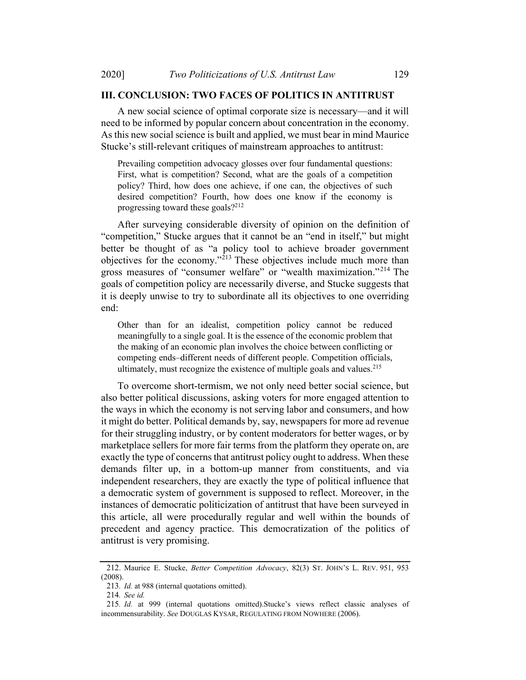#### III CONCLUSION: TWO FACES OF POLITICS IN ANTITRUST

A new social science of optimal corporate size is necessary—and it will need to be informed by popular concern about concentration in the economy. As this new social science is built and applied, we must bear in mind Maurice Stucke's still-relevant critiques of mainstream approaches to antitrust:

Prevailing competition advocacy glosses over four fundamental questions: First, what is competition? Second, what are the goals of a competition policy? Third, how does one achieve, if one can, the objectives of such desired competition? Fourth, how does one know if the economy is progressing toward these goals?212

After surveying considerable diversity of opinion on the definition of "competition," Stucke argues that it cannot be an "end in itself," but might better be thought of as "a policy tool to achieve broader government objectives for the economy."<sup>213</sup> These objectives include much more than gross measures of "consumer welfare" or "wealth maximization."<sup>214</sup> The goals of competition policy are necessarily diverse, and Stucke suggests that it is deeply unwise to try to subordinate all its objectives to one overriding end:

Other than for an idealist, competition policy cannot be reduced meaningfully to a single goal. It is the essence of the economic problem that the making of an economic plan involves the choice between conflicting or competing ends–different needs of different people. Competition officials, ultimately, must recognize the existence of multiple goals and values.<sup>215</sup>

To overcome short-termism, we not only need better social science, but also better political discussions, asking voters for more engaged attention to the ways in which the economy is not serving labor and consumers, and how it might do better. Political demands by, say, newspapers for more ad revenue for their struggling industry, or by content moderators for better wages, or by marketplace sellers for more fair terms from the platform they operate on, are exactly the type of concerns that antitrust policy ought to address. When these demands filter up, in a bottom-up manner from constituents, and via independent researchers, they are exactly the type of political influence that a democratic system of government is supposed to reflect. Moreover, in the instances of democratic politicization of antitrust that have been surveyed in this article, all were procedurally regular and well within the bounds of precedent and agency practice. This democratization of the politics of antitrust is very promising.

<sup>212.</sup> Maurice E. Stucke, Better Competition Advocacy, 82(3) ST. JOHN'S L. REV. 951, 953 (2008).

<sup>213</sup>. Id. at 988 (internal quotations omitted).

<sup>214</sup>. See id.

<sup>215</sup>. Id. at 999 (internal quotations omitted).Stucke's views reflect classic analyses of incommensurability. See DOUGLAS KYSAR, REGULATING FROM NOWHERE (2006).